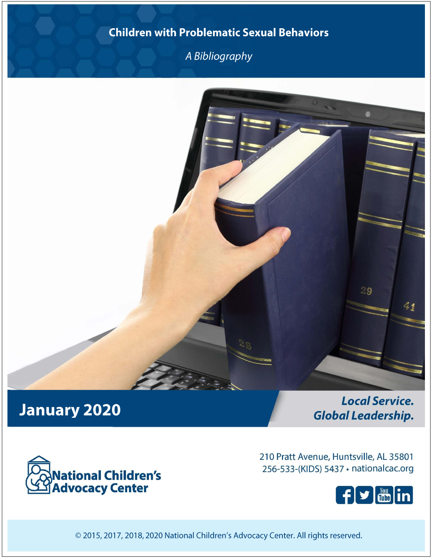# **Children with Problematic Sexual Behaviors**

A Bibliography



# **January 2020**

**Local Service. Global Leadership.** 



210 Pratt Avenue, Huntsville, AL 35801 256-533-(KIDS) 5437 · nationalcac.org



© 2015, 2017, 2018, 2020 National Children's Advocacy Center. All rights reserved.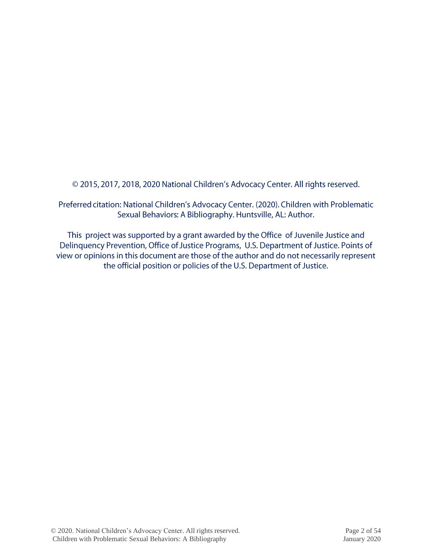© 2015, 2017, 2018, 2020 National Children's Advocacy Center. All rights reserved.

Preferred citation: National Children's Advocacy Center. (2020). Children with Problematic Sexual Behaviors: A Bibliography. Huntsville, AL: Author.

This project was supported by a grant awarded by the Office of Juvenile Justice and Delinquency Prevention, Office of Justice Programs, U.S. Department of Justice. Points of view or opinions in this document are those of the author and do not necessarily represent the official position or policies of the U.S. Department of Justice.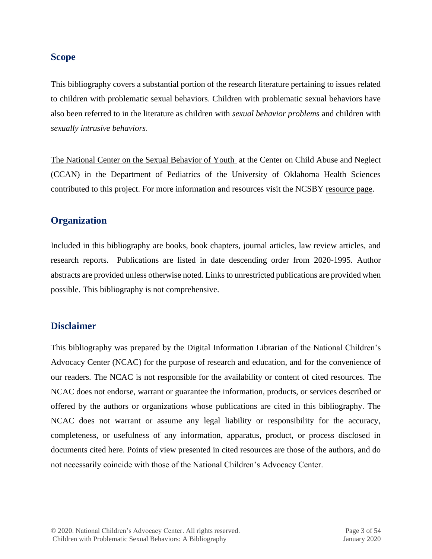#### **Scope**

This bibliography covers a substantial portion of the research literature pertaining to issues related to children with problematic sexual behaviors. Children with problematic sexual behaviors have also been referred to in the literature as children with *sexual behavior problems* and children with *sexually intrusive behaviors.*

[The National Center on the Sexual Behavior of Youth](http://www.ncsby.org/) at the Center on Child Abuse and Neglect (CCAN) in the Department of Pediatrics of the University of Oklahoma Health Sciences contributed to this project. For more information and resources visit the NCSBY [resource page.](http://www.ncsby.org/resources)

### **Organization**

Included in this bibliography are books, book chapters, journal articles, law review articles, and research reports. Publications are listed in date descending order from 2020-1995. Author abstracts are provided unless otherwise noted. Links to unrestricted publications are provided when possible. This bibliography is not comprehensive.

#### **Disclaimer**

This bibliography was prepared by the Digital Information Librarian of the National Children's Advocacy Center (NCAC) for the purpose of research and education, and for the convenience of our readers. The NCAC is not responsible for the availability or content of cited resources. The NCAC does not endorse, warrant or guarantee the information, products, or services described or offered by the authors or organizations whose publications are cited in this bibliography. The NCAC does not warrant or assume any legal liability or responsibility for the accuracy, completeness, or usefulness of any information, apparatus, product, or process disclosed in documents cited here. Points of view presented in cited resources are those of the authors, and do not necessarily coincide with those of the National Children's Advocacy Center.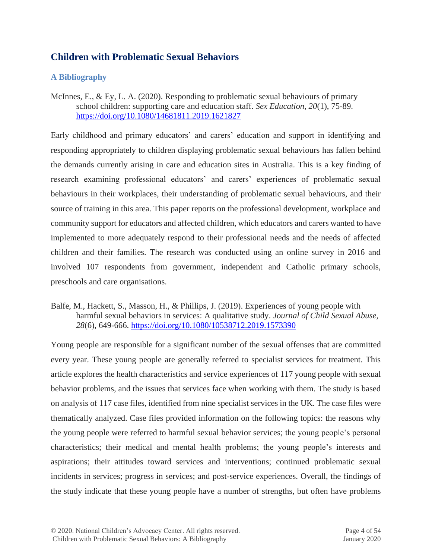## **Children with Problematic Sexual Behaviors**

#### **A Bibliography**

McInnes, E., & Ey, L. A. (2020). Responding to problematic sexual behaviours of primary school children: supporting care and education staff. *Sex Education, 20*(1), 75-89. <https://doi.org/10.1080/14681811.2019.1621827>

Early childhood and primary educators' and carers' education and support in identifying and responding appropriately to children displaying problematic sexual behaviours has fallen behind the demands currently arising in care and education sites in Australia. This is a key finding of research examining professional educators' and carers' experiences of problematic sexual behaviours in their workplaces, their understanding of problematic sexual behaviours, and their source of training in this area. This paper reports on the professional development, workplace and community support for educators and affected children, which educators and carers wanted to have implemented to more adequately respond to their professional needs and the needs of affected children and their families. The research was conducted using an online survey in 2016 and involved 107 respondents from government, independent and Catholic primary schools, preschools and care organisations.

Balfe, M., Hackett, S., Masson, H., & Phillips, J. (2019). Experiences of young people with harmful sexual behaviors in services: A qualitative study. *Journal of Child Sexual Abuse, 28*(6), 649-666. <https://doi.org/10.1080/10538712.2019.1573390>

Young people are responsible for a significant number of the sexual offenses that are committed every year. These young people are generally referred to specialist services for treatment. This article explores the health characteristics and service experiences of 117 young people with sexual behavior problems, and the issues that services face when working with them. The study is based on analysis of 117 case files, identified from nine specialist services in the UK. The case files were thematically analyzed. Case files provided information on the following topics: the reasons why the young people were referred to harmful sexual behavior services; the young people's personal characteristics; their medical and mental health problems; the young people's interests and aspirations; their attitudes toward services and interventions; continued problematic sexual incidents in services; progress in services; and post-service experiences. Overall, the findings of the study indicate that these young people have a number of strengths, but often have problems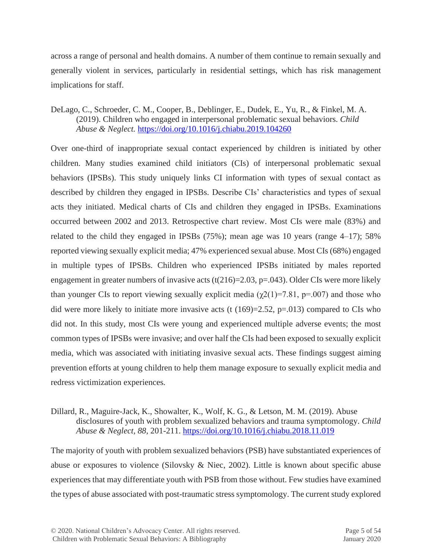across a range of personal and health domains. A number of them continue to remain sexually and generally violent in services, particularly in residential settings, which has risk management implications for staff.

#### DeLago, C., Schroeder, C. M., Cooper, B., Deblinger, E., Dudek, E., Yu, R., & Finkel, M. A. (2019). Children who engaged in interpersonal problematic sexual behaviors. *Child Abuse & Neglect.* <https://doi.org/10.1016/j.chiabu.2019.104260>

Over one-third of inappropriate sexual contact experienced by children is initiated by other children. Many studies examined child initiators (CIs) of interpersonal problematic sexual behaviors (IPSBs). This study uniquely links CI information with types of sexual contact as described by children they engaged in IPSBs. Describe CIs' characteristics and types of sexual acts they initiated. Medical charts of CIs and children they engaged in IPSBs. Examinations occurred between 2002 and 2013. Retrospective chart review. Most CIs were male (83%) and related to the child they engaged in IPSBs  $(75%)$ ; mean age was 10 years (range 4–17); 58% reported viewing sexually explicit media; 47% experienced sexual abuse. Most CIs (68%) engaged in multiple types of IPSBs. Children who experienced IPSBs initiated by males reported engagement in greater numbers of invasive acts  $(t(216)=2.03, p=.043)$ . Older CIs were more likely than younger CIs to report viewing sexually explicit media ( $\chi$ 2(1)=7.81, p=.007) and those who did were more likely to initiate more invasive acts (t  $(169)=2.52$ , p=.013) compared to CIs who did not. In this study, most CIs were young and experienced multiple adverse events; the most common types of IPSBs were invasive; and over half the CIs had been exposed to sexually explicit media, which was associated with initiating invasive sexual acts. These findings suggest aiming prevention efforts at young children to help them manage exposure to sexually explicit media and redress victimization experiences*.*

#### Dillard, R., Maguire-Jack, K., Showalter, K., Wolf, K. G., & Letson, M. M. (2019). Abuse disclosures of youth with problem sexualized behaviors and trauma symptomology. *Child Abuse & Neglect, 88*, 201-211. <https://doi.org/10.1016/j.chiabu.2018.11.019>

The majority of youth with problem sexualized behaviors (PSB) have substantiated experiences of abuse or exposures to violence (Silovsky & Niec, 2002). Little is known about specific abuse experiences that may differentiate youth with PSB from those without. Few studies have examined the types of abuse associated with post-traumatic stress symptomology. The current study explored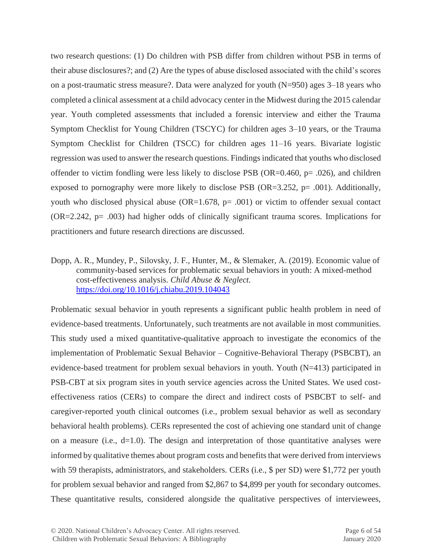two research questions: (1) Do children with PSB differ from children without PSB in terms of their abuse disclosures?; and (2) Are the types of abuse disclosed associated with the child's scores on a post-traumatic stress measure?. Data were analyzed for youth (N=950) ages 3–18 years who completed a clinical assessment at a child advocacy center in the Midwest during the 2015 calendar year. Youth completed assessments that included a forensic interview and either the Trauma Symptom Checklist for Young Children (TSCYC) for children ages 3–10 years, or the Trauma Symptom Checklist for Children (TSCC) for children ages 11–16 years. Bivariate logistic regression was used to answer the research questions. Findings indicated that youths who disclosed offender to victim fondling were less likely to disclose PSB ( $OR=0.460$ ,  $p=.026$ ), and children exposed to pornography were more likely to disclose PSB (OR=3.252, p= .001). Additionally, youth who disclosed physical abuse  $(OR=1.678, p=.001)$  or victim to offender sexual contact (OR=2.242, p= .003) had higher odds of clinically significant trauma scores. Implications for practitioners and future research directions are discussed.

Dopp, A. R., Mundey, P., Silovsky, J. F., Hunter, M., & Slemaker, A. (2019). Economic value of community-based services for problematic sexual behaviors in youth: A mixed-method cost-effectiveness analysis. *Child Abuse & Neglect.*  <https://doi.org/10.1016/j.chiabu.2019.104043>

Problematic sexual behavior in youth represents a significant public health problem in need of evidence-based treatments. Unfortunately, such treatments are not available in most communities. This study used a mixed quantitative-qualitative approach to investigate the economics of the implementation of Problematic Sexual Behavior – Cognitive-Behavioral Therapy (PSBCBT), an evidence-based treatment for problem sexual behaviors in youth. Youth (N=413) participated in PSB-CBT at six program sites in youth service agencies across the United States. We used costeffectiveness ratios (CERs) to compare the direct and indirect costs of PSBCBT to self- and caregiver-reported youth clinical outcomes (i.e., problem sexual behavior as well as secondary behavioral health problems). CERs represented the cost of achieving one standard unit of change on a measure (i.e.,  $d=1.0$ ). The design and interpretation of those quantitative analyses were informed by qualitative themes about program costs and benefits that were derived from interviews with 59 therapists, administrators, and stakeholders. CERs (i.e., \$ per SD) were \$1,772 per youth for problem sexual behavior and ranged from \$2,867 to \$4,899 per youth for secondary outcomes. These quantitative results, considered alongside the qualitative perspectives of interviewees,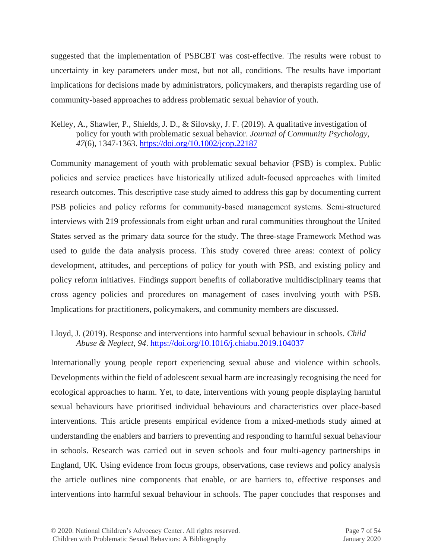suggested that the implementation of PSBCBT was cost-effective. The results were robust to uncertainty in key parameters under most, but not all, conditions. The results have important implications for decisions made by administrators, policymakers, and therapists regarding use of community-based approaches to address problematic sexual behavior of youth.

Kelley, A., Shawler, P., Shields, J. D., & Silovsky, J. F. (2019). A qualitative investigation of policy for youth with problematic sexual behavior. *Journal of Community Psychology, 47*(6), 1347-1363. <https://doi.org/10.1002/jcop.22187>

Community management of youth with problematic sexual behavior (PSB) is complex. Public policies and service practices have historically utilized adult‐focused approaches with limited research outcomes. This descriptive case study aimed to address this gap by documenting current PSB policies and policy reforms for community-based management systems. Semi-structured interviews with 219 professionals from eight urban and rural communities throughout the United States served as the primary data source for the study. The three‐stage Framework Method was used to guide the data analysis process. This study covered three areas: context of policy development, attitudes, and perceptions of policy for youth with PSB, and existing policy and policy reform initiatives. Findings support benefits of collaborative multidisciplinary teams that cross agency policies and procedures on management of cases involving youth with PSB. Implications for practitioners, policymakers, and community members are discussed.

Lloyd, J. (2019). Response and interventions into harmful sexual behaviour in schools. *Child Abuse & Neglect, 94*.<https://doi.org/10.1016/j.chiabu.2019.104037>

Internationally young people report experiencing sexual abuse and violence within schools. Developments within the field of adolescent sexual harm are increasingly recognising the need for ecological approaches to harm. Yet, to date, interventions with young people displaying harmful sexual behaviours have prioritised individual behaviours and characteristics over place-based interventions. This article presents empirical evidence from a mixed-methods study aimed at understanding the enablers and barriers to preventing and responding to harmful sexual behaviour in schools. Research was carried out in seven schools and four multi-agency partnerships in England, UK. Using evidence from focus groups, observations, case reviews and policy analysis the article outlines nine components that enable, or are barriers to, effective responses and interventions into harmful sexual behaviour in schools. The paper concludes that responses and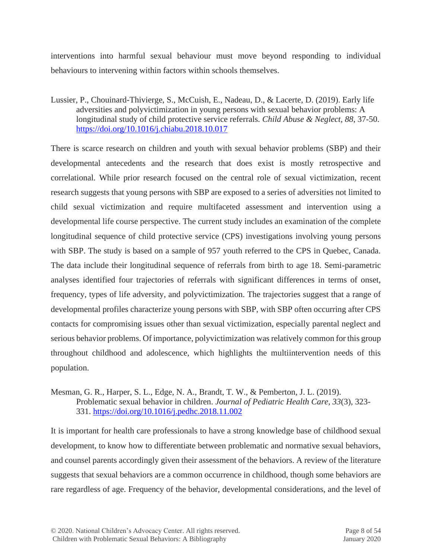interventions into harmful sexual behaviour must move beyond responding to individual behaviours to intervening within factors within schools themselves.

Lussier, P., Chouinard-Thivierge, S., McCuish, E., Nadeau, D., & Lacerte, D. (2019). Early life adversities and polyvictimization in young persons with sexual behavior problems: A longitudinal study of child protective service referrals. *Child Abuse & Neglect, 88*, 37-50. <https://doi.org/10.1016/j.chiabu.2018.10.017>

There is scarce research on children and youth with sexual behavior problems (SBP) and their developmental antecedents and the research that does exist is mostly retrospective and correlational. While prior research focused on the central role of sexual victimization, recent research suggests that young persons with SBP are exposed to a series of adversities not limited to child sexual victimization and require multifaceted assessment and intervention using a developmental life course perspective. The current study includes an examination of the complete longitudinal sequence of child protective service (CPS) investigations involving young persons with SBP. The study is based on a sample of 957 youth referred to the CPS in Quebec, Canada. The data include their longitudinal sequence of referrals from birth to age 18. Semi-parametric analyses identified four trajectories of referrals with significant differences in terms of onset, frequency, types of life adversity, and polyvictimization. The trajectories suggest that a range of developmental profiles characterize young persons with SBP, with SBP often occurring after CPS contacts for compromising issues other than sexual victimization, especially parental neglect and serious behavior problems. Of importance, polyvictimization was relatively common for this group throughout childhood and adolescence, which highlights the multiintervention needs of this population.

Mesman, G. R., Harper, S. L., Edge, N. A., Brandt, T. W., & Pemberton, J. L. (2019). Problematic sexual behavior in children. *Journal of Pediatric Health Care, 33*(3), 323- 331. <https://doi.org/10.1016/j.pedhc.2018.11.002>

It is important for health care professionals to have a strong knowledge base of childhood sexual development, to know how to differentiate between problematic and normative sexual behaviors, and counsel parents accordingly given their assessment of the behaviors. A review of the literature suggests that sexual behaviors are a common occurrence in childhood, though some behaviors are rare regardless of age. Frequency of the behavior, developmental considerations, and the level of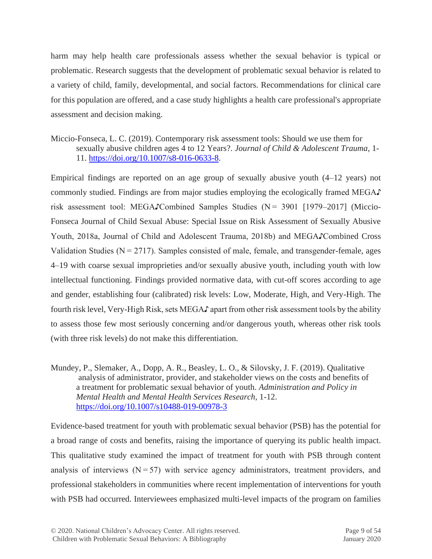harm may help health care professionals assess whether the sexual behavior is typical or problematic. Research suggests that the development of problematic sexual behavior is related to a variety of child, family, developmental, and social factors. Recommendations for clinical care for this population are offered, and a case study highlights a health care professional's appropriate assessment and decision making.

#### Miccio-Fonseca, L. C. (2019). Contemporary risk assessment tools: Should we use them for sexually abusive children ages 4 to 12 Years?. *Journal of Child & Adolescent Trauma*, 1- 11. [https://doi.org/10.1007/s8-016-0633-8.](https://doi.org/10.1007/s8-016-0633-8)

Empirical findings are reported on an age group of sexually abusive youth (4–12 years) not commonly studied. Findings are from major studies employing the ecologically framed MEGA♪ risk assessment tool: MEGA♪Combined Samples Studies (N = 3901 [1979–2017] (Miccio-Fonseca Journal of Child Sexual Abuse: Special Issue on Risk Assessment of Sexually Abusive Youth, 2018a, Journal of Child and Adolescent Trauma, 2018b) and MEGA♪Combined Cross Validation Studies ( $N = 2717$ ). Samples consisted of male, female, and transgender-female, ages 4–19 with coarse sexual improprieties and/or sexually abusive youth, including youth with low intellectual functioning. Findings provided normative data, with cut-off scores according to age and gender, establishing four (calibrated) risk levels: Low, Moderate, High, and Very-High. The fourth risk level, Very-High Risk, sets MEGA♪ apart from other risk assessment tools by the ability to assess those few most seriously concerning and/or dangerous youth, whereas other risk tools (with three risk levels) do not make this differentiation.

Mundey, P., Slemaker, A., Dopp, A. R., Beasley, L. O., & Silovsky, J. F. (2019). Qualitative analysis of administrator, provider, and stakeholder views on the costs and benefits of a treatment for problematic sexual behavior of youth. *Administration and Policy in Mental Health and Mental Health Services Research,* 1-12. <https://doi.org/10.1007/s10488-019-00978-3>

Evidence-based treatment for youth with problematic sexual behavior (PSB) has the potential for a broad range of costs and benefits, raising the importance of querying its public health impact. This qualitative study examined the impact of treatment for youth with PSB through content analysis of interviews  $(N=57)$  with service agency administrators, treatment providers, and professional stakeholders in communities where recent implementation of interventions for youth with PSB had occurred. Interviewees emphasized multi-level impacts of the program on families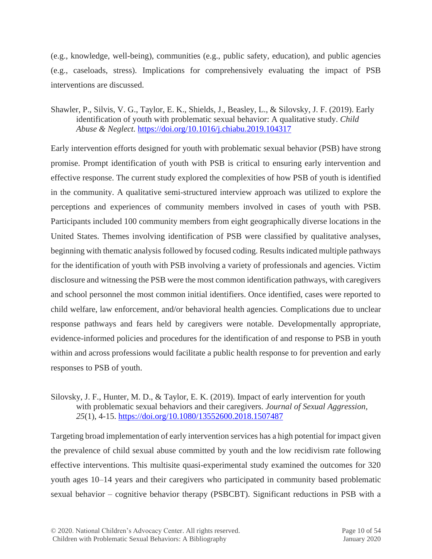(e.g., knowledge, well-being), communities (e.g., public safety, education), and public agencies (e.g., caseloads, stress). Implications for comprehensively evaluating the impact of PSB interventions are discussed.

Shawler, P., Silvis, V. G., Taylor, E. K., Shields, J., Beasley, L., & Silovsky, J. F. (2019). Early identification of youth with problematic sexual behavior: A qualitative study. *Child Abuse & Neglect.* <https://doi.org/10.1016/j.chiabu.2019.104317>

Early intervention efforts designed for youth with problematic sexual behavior (PSB) have strong promise. Prompt identification of youth with PSB is critical to ensuring early intervention and effective response. The current study explored the complexities of how PSB of youth is identified in the community. A qualitative semi-structured interview approach was utilized to explore the perceptions and experiences of community members involved in cases of youth with PSB. Participants included 100 community members from eight geographically diverse locations in the United States. Themes involving identification of PSB were classified by qualitative analyses, beginning with thematic analysis followed by focused coding. Results indicated multiple pathways for the identification of youth with PSB involving a variety of professionals and agencies. Victim disclosure and witnessing the PSB were the most common identification pathways, with caregivers and school personnel the most common initial identifiers. Once identified, cases were reported to child welfare, law enforcement, and/or behavioral health agencies. Complications due to unclear response pathways and fears held by caregivers were notable. Developmentally appropriate, evidence-informed policies and procedures for the identification of and response to PSB in youth within and across professions would facilitate a public health response to for prevention and early responses to PSB of youth.

Silovsky, J. F., Hunter, M. D., & Taylor, E. K. (2019). Impact of early intervention for youth with problematic sexual behaviors and their caregivers. *Journal of Sexual Aggression, 25*(1), 4-15. <https://doi.org/10.1080/13552600.2018.1507487>

Targeting broad implementation of early intervention services has a high potential for impact given the prevalence of child sexual abuse committed by youth and the low recidivism rate following effective interventions. This multisite quasi-experimental study examined the outcomes for 320 youth ages 10–14 years and their caregivers who participated in community based problematic sexual behavior – cognitive behavior therapy (PSBCBT). Significant reductions in PSB with a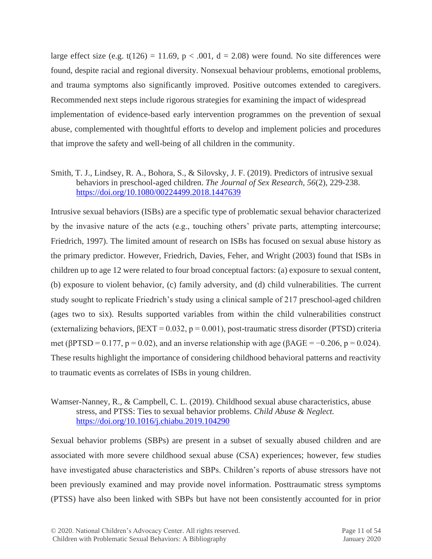large effect size (e.g.  $t(126) = 11.69$ ,  $p < .001$ ,  $d = 2.08$ ) were found. No site differences were found, despite racial and regional diversity. Nonsexual behaviour problems, emotional problems, and trauma symptoms also significantly improved. Positive outcomes extended to caregivers. Recommended next steps include rigorous strategies for examining the impact of widespread implementation of evidence-based early intervention programmes on the prevention of sexual abuse, complemented with thoughtful efforts to develop and implement policies and procedures that improve the safety and well-being of all children in the community.

Smith, T. J., Lindsey, R. A., Bohora, S., & Silovsky, J. F. (2019). Predictors of intrusive sexual behaviors in preschool-aged children. *The Journal of Sex Research, 56*(2), 229-238. <https://doi.org/10.1080/00224499.2018.1447639>

Intrusive sexual behaviors (ISBs) are a specific type of problematic sexual behavior characterized by the invasive nature of the acts (e.g., touching others' private parts, attempting intercourse; Friedrich, 1997). The limited amount of research on ISBs has focused on sexual abuse history as the primary predictor. However, Friedrich, Davies, Feher, and Wright (2003) found that ISBs in children up to age 12 were related to four broad conceptual factors: (a) exposure to sexual content, (b) exposure to violent behavior, (c) family adversity, and (d) child vulnerabilities. The current study sought to replicate Friedrich's study using a clinical sample of 217 preschool-aged children (ages two to six). Results supported variables from within the child vulnerabilities construct (externalizing behaviors,  $\beta$ EXT = 0.032, p = 0.001), post-traumatic stress disorder (PTSD) criteria met (βPTSD = 0.177, p = 0.02), and an inverse relationship with age (βAGE =  $-0.206$ , p = 0.024). These results highlight the importance of considering childhood behavioral patterns and reactivity to traumatic events as correlates of ISBs in young children.

#### Wamser-Nanney, R., & Campbell, C. L. (2019). Childhood sexual abuse characteristics, abuse stress, and PTSS: Ties to sexual behavior problems. *Child Abuse & Neglect.*  <https://doi.org/10.1016/j.chiabu.2019.104290>

Sexual behavior problems (SBPs) are present in a subset of sexually abused children and are associated with more severe childhood sexual abuse (CSA) experiences; however, few studies have investigated abuse characteristics and SBPs. Children's reports of abuse stressors have not been previously examined and may provide novel information. Posttraumatic stress symptoms (PTSS) have also been linked with SBPs but have not been consistently accounted for in prior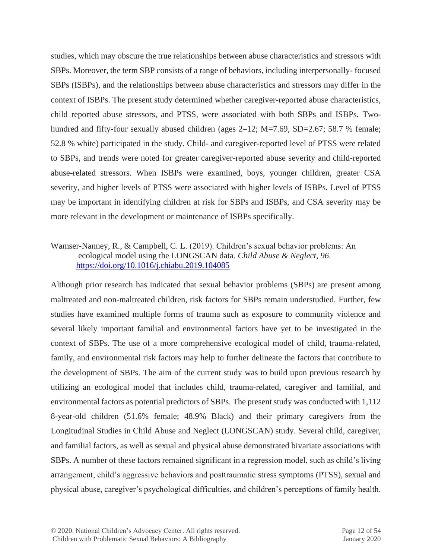studies, which may obscure the true relationships between abuse characteristics and stressors with SBPs. Moreover, the term SBP consists of a range of behaviors, including interpersonally- focused SBPs (ISBPs), and the relationships between abuse characteristics and stressors may differ in the context of ISBPs. The present study determined whether caregiver-reported abuse characteristics, child reported abuse stressors, and PTSS, were associated with both SBPs and ISBPs. Twohundred and fifty-four sexually abused children (ages  $2-12$ ; M=7.69, SD=2.67; 58.7 % female; 52.8 % white) participated in the study. Child- and caregiver-reported level of PTSS were related to SBPs, and trends were noted for greater caregiver-reported abuse severity and child-reported abuse-related stressors. When ISBPs were examined, boys, younger children, greater CSA severity, and higher levels of PTSS were associated with higher levels of ISBPs. Level of PTSS may be important in identifying children at risk for SBPs and ISBPs, and CSA severity may be more relevant in the development or maintenance of ISBPs specifically.

#### Wamser-Nanney, R., & Campbell, C. L. (2019). Children's sexual behavior problems: An ecological model using the LONGSCAN data. *Child Abuse & Neglect, 96*. <https://doi.org/10.1016/j.chiabu.2019.104085>

Although prior research has indicated that sexual behavior problems (SBPs) are present among maltreated and non-maltreated children, risk factors for SBPs remain understudied. Further, few studies have examined multiple forms of trauma such as exposure to community violence and several likely important familial and environmental factors have yet to be investigated in the context of SBPs. The use of a more comprehensive ecological model of child, trauma-related, family, and environmental risk factors may help to further delineate the factors that contribute to the development of SBPs. The aim of the current study was to build upon previous research by utilizing an ecological model that includes child, trauma-related, caregiver and familial, and environmental factors as potential predictors of SBPs. The present study was conducted with 1,112 8-year-old children (51.6% female; 48.9% Black) and their primary caregivers from the Longitudinal Studies in Child Abuse and Neglect (LONGSCAN) study. Several child, caregiver, and familial factors, as well as sexual and physical abuse demonstrated bivariate associations with SBPs. A number of these factors remained significant in a regression model, such as child's living arrangement, child's aggressive behaviors and posttraumatic stress symptoms (PTSS), sexual and physical abuse, caregiver's psychological difficulties, and children's perceptions of family health.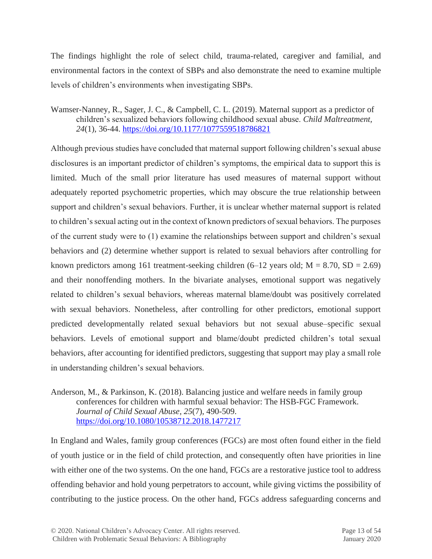The findings highlight the role of select child, trauma-related, caregiver and familial, and environmental factors in the context of SBPs and also demonstrate the need to examine multiple levels of children's environments when investigating SBPs.

Wamser-Nanney, R., Sager, J. C., & Campbell, C. L. (2019). Maternal support as a predictor of children's sexualized behaviors following childhood sexual abuse. *Child Maltreatment, 24*(1), 36-44. <https://doi.org/10.1177/1077559518786821>

Although previous studies have concluded that maternal support following children's sexual abuse disclosures is an important predictor of children's symptoms, the empirical data to support this is limited. Much of the small prior literature has used measures of maternal support without adequately reported psychometric properties, which may obscure the true relationship between support and children's sexual behaviors. Further, it is unclear whether maternal support is related to children's sexual acting out in the context of known predictors of sexual behaviors. The purposes of the current study were to (1) examine the relationships between support and children's sexual behaviors and (2) determine whether support is related to sexual behaviors after controlling for known predictors among 161 treatment-seeking children  $(6-12 \text{ years old}; M = 8.70, SD = 2.69)$ and their nonoffending mothers. In the bivariate analyses, emotional support was negatively related to children's sexual behaviors, whereas maternal blame/doubt was positively correlated with sexual behaviors. Nonetheless, after controlling for other predictors, emotional support predicted developmentally related sexual behaviors but not sexual abuse–specific sexual behaviors. Levels of emotional support and blame/doubt predicted children's total sexual behaviors, after accounting for identified predictors, suggesting that support may play a small role in understanding children's sexual behaviors.

Anderson, M., & Parkinson, K. (2018). Balancing justice and welfare needs in family group conferences for children with harmful sexual behavior: The HSB-FGC Framework. *Journal of Child Sexual Abuse, 25*(7), 490-509. <https://doi.org/10.1080/10538712.2018.1477217>

In England and Wales, family group conferences (FGCs) are most often found either in the field of youth justice or in the field of child protection, and consequently often have priorities in line with either one of the two systems. On the one hand, FGCs are a restorative justice tool to address offending behavior and hold young perpetrators to account, while giving victims the possibility of contributing to the justice process. On the other hand, FGCs address safeguarding concerns and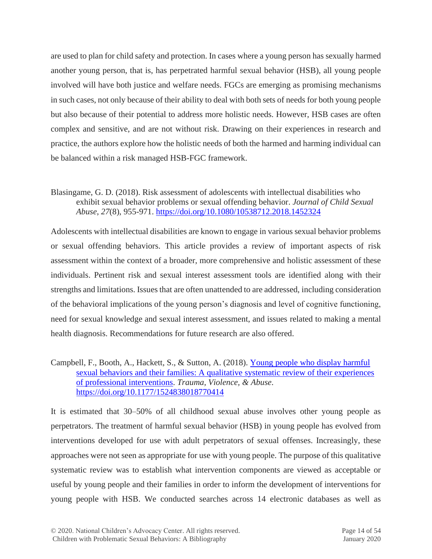are used to plan for child safety and protection. In cases where a young person has sexually harmed another young person, that is, has perpetrated harmful sexual behavior (HSB), all young people involved will have both justice and welfare needs. FGCs are emerging as promising mechanisms in such cases, not only because of their ability to deal with both sets of needs for both young people but also because of their potential to address more holistic needs. However, HSB cases are often complex and sensitive, and are not without risk. Drawing on their experiences in research and practice, the authors explore how the holistic needs of both the harmed and harming individual can be balanced within a risk managed HSB-FGC framework.

Blasingame, G. D. (2018). Risk assessment of adolescents with intellectual disabilities who exhibit sexual behavior problems or sexual offending behavior. *Journal of Child Sexual Abuse*, *27*(8), 955-971.<https://doi.org/10.1080/10538712.2018.1452324>

Adolescents with intellectual disabilities are known to engage in various sexual behavior problems or sexual offending behaviors. This article provides a review of important aspects of risk assessment within the context of a broader, more comprehensive and holistic assessment of these individuals. Pertinent risk and sexual interest assessment tools are identified along with their strengths and limitations. Issues that are often unattended to are addressed, including consideration of the behavioral implications of the young person's diagnosis and level of cognitive functioning, need for sexual knowledge and sexual interest assessment, and issues related to making a mental health diagnosis. Recommendations for future research are also offered.

Campbell, F., Booth, A., Hackett, S., & Sutton, A. (2018). [Young people who display harmful](http://dro.dur.ac.uk/24664/1/24664.pdf)  [sexual behaviors and their families: A qualitative systematic review of their experiences](http://dro.dur.ac.uk/24664/1/24664.pdf)  [of professional interventions.](http://dro.dur.ac.uk/24664/1/24664.pdf) *Trauma, Violence, & Abuse*. <https://doi.org/10.1177/1524838018770414>

It is estimated that 30–50% of all childhood sexual abuse involves other young people as perpetrators. The treatment of harmful sexual behavior (HSB) in young people has evolved from interventions developed for use with adult perpetrators of sexual offenses. Increasingly, these approaches were not seen as appropriate for use with young people. The purpose of this qualitative systematic review was to establish what intervention components are viewed as acceptable or useful by young people and their families in order to inform the development of interventions for young people with HSB. We conducted searches across 14 electronic databases as well as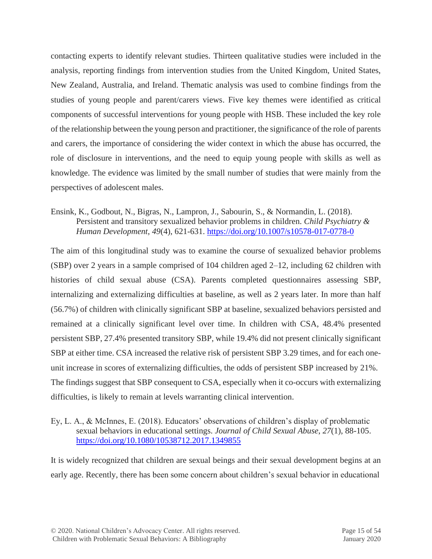contacting experts to identify relevant studies. Thirteen qualitative studies were included in the analysis, reporting findings from intervention studies from the United Kingdom, United States, New Zealand, Australia, and Ireland. Thematic analysis was used to combine findings from the studies of young people and parent/carers views. Five key themes were identified as critical components of successful interventions for young people with HSB. These included the key role of the relationship between the young person and practitioner, the significance of the role of parents and carers, the importance of considering the wider context in which the abuse has occurred, the role of disclosure in interventions, and the need to equip young people with skills as well as knowledge. The evidence was limited by the small number of studies that were mainly from the perspectives of adolescent males.

Ensink, K., Godbout, N., Bigras, N., Lampron, J., Sabourin, S., & Normandin, L. (2018). Persistent and transitory sexualized behavior problems in children. *Child Psychiatry & Human Development*, *49*(4), 621-631. <https://doi.org/10.1007/s10578-017-0778-0>

The aim of this longitudinal study was to examine the course of sexualized behavior problems (SBP) over 2 years in a sample comprised of 104 children aged 2–12, including 62 children with histories of child sexual abuse (CSA). Parents completed questionnaires assessing SBP, internalizing and externalizing difficulties at baseline, as well as 2 years later. In more than half (56.7%) of children with clinically significant SBP at baseline, sexualized behaviors persisted and remained at a clinically significant level over time. In children with CSA, 48.4% presented persistent SBP, 27.4% presented transitory SBP, while 19.4% did not present clinically significant SBP at either time. CSA increased the relative risk of persistent SBP 3.29 times, and for each oneunit increase in scores of externalizing difficulties, the odds of persistent SBP increased by 21%. The findings suggest that SBP consequent to CSA, especially when it co-occurs with externalizing difficulties, is likely to remain at levels warranting clinical intervention.

Ey, L. A., & McInnes, E. (2018). Educators' observations of children's display of problematic sexual behaviors in educational settings. *Journal of Child Sexual Abuse*, *27*(1), 88-105. <https://doi.org/10.1080/10538712.2017.1349855>

It is widely recognized that children are sexual beings and their sexual development begins at an early age. Recently, there has been some concern about children's sexual behavior in educational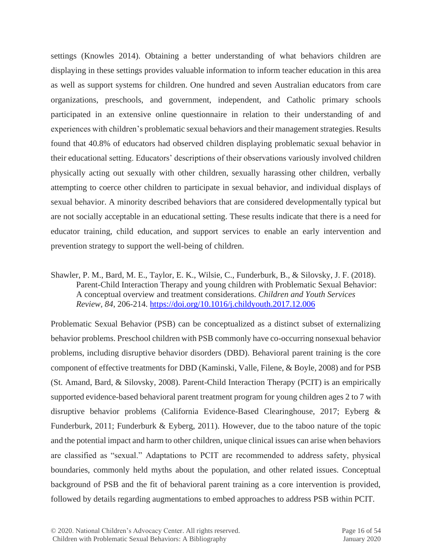settings (Knowles 2014). Obtaining a better understanding of what behaviors children are displaying in these settings provides valuable information to inform teacher education in this area as well as support systems for children. One hundred and seven Australian educators from care organizations, preschools, and government, independent, and Catholic primary schools participated in an extensive online questionnaire in relation to their understanding of and experiences with children's problematic sexual behaviors and their management strategies. Results found that 40.8% of educators had observed children displaying problematic sexual behavior in their educational setting. Educators' descriptions of their observations variously involved children physically acting out sexually with other children, sexually harassing other children, verbally attempting to coerce other children to participate in sexual behavior, and individual displays of sexual behavior. A minority described behaviors that are considered developmentally typical but are not socially acceptable in an educational setting. These results indicate that there is a need for educator training, child education, and support services to enable an early intervention and prevention strategy to support the well-being of children.

Shawler, P. M., Bard, M. E., Taylor, E. K., Wilsie, C., Funderburk, B., & Silovsky, J. F. (2018). Parent-Child Interaction Therapy and young children with Problematic Sexual Behavior: A conceptual overview and treatment considerations. *Children and Youth Services Review, 84*, 206-214. <https://doi.org/10.1016/j.childyouth.2017.12.006>

Problematic Sexual Behavior (PSB) can be conceptualized as a distinct subset of externalizing behavior problems. Preschool children with PSB commonly have co-occurring nonsexual behavior problems, including disruptive behavior disorders (DBD). Behavioral parent training is the core component of effective treatments for DBD (Kaminski, Valle, Filene, & Boyle, 2008) and for PSB (St. Amand, Bard, & Silovsky, 2008). Parent-Child Interaction Therapy (PCIT) is an empirically supported evidence-based behavioral parent treatment program for young children ages 2 to 7 with disruptive behavior problems (California Evidence-Based Clearinghouse, 2017; Eyberg & Funderburk, 2011; Funderburk & Eyberg, 2011). However, due to the taboo nature of the topic and the potential impact and harm to other children, unique clinical issues can arise when behaviors are classified as "sexual." Adaptations to PCIT are recommended to address safety, physical boundaries, commonly held myths about the population, and other related issues. Conceptual background of PSB and the fit of behavioral parent training as a core intervention is provided, followed by details regarding augmentations to embed approaches to address PSB within PCIT.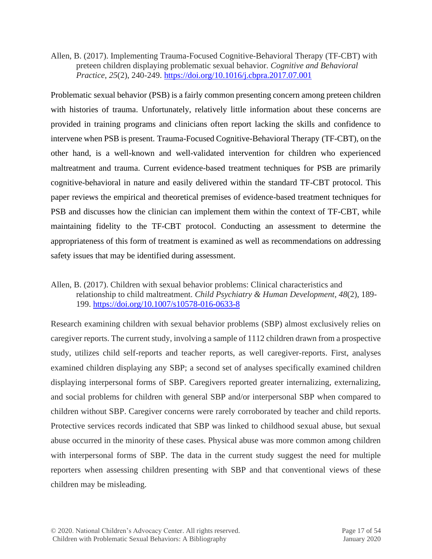Allen, B. (2017). Implementing Trauma-Focused Cognitive-Behavioral Therapy (TF-CBT) with preteen children displaying problematic sexual behavior. *Cognitive and Behavioral Practice*, *25*(2), 240-249.<https://doi.org/10.1016/j.cbpra.2017.07.001>

Problematic [sexual behavior](https://www.sciencedirect.com/topics/medicine-and-dentistry/sexual-behavior) (PSB) is a fairly common presenting concern among preteen children with histories of trauma. Unfortunately, relatively little information about these concerns are provided in training programs and clinicians often report lacking the skills and confidence to intervene when PSB is present. [Trauma-Focused Cognitive-Behavioral Therapy](https://www.sciencedirect.com/topics/medicine-and-dentistry/trauma-focused-cognitive-behavioral-therapy) (TF-CBT), on the other hand, is a well-known and well-validated intervention for children who experienced maltreatment and trauma. Current evidence-based treatment techniques for PSB are primarily cognitive-behavioral in nature and easily delivered within the standard TF-CBT protocol. This paper reviews the empirical and theoretical premises of evidence-based treatment techniques for PSB and discusses how the clinician can implement them within the context of TF-CBT, while maintaining fidelity to the TF-CBT protocol. Conducting an assessment to determine the appropriateness of this form of treatment is examined as well as recommendations on addressing safety issues that may be identified during assessment.

#### Allen, B. (2017). Children with sexual behavior problems: Clinical characteristics and relationship to child maltreatment. *Child Psychiatry & Human Development*, *48*(2), 189- 199.<https://doi.org/10.1007/s10578-016-0633-8>

Research examining children with sexual behavior problems (SBP) almost exclusively relies on caregiver reports. The current study, involving a sample of 1112 children drawn from a prospective study, utilizes child self-reports and teacher reports, as well caregiver-reports. First, analyses examined children displaying any SBP; a second set of analyses specifically examined children displaying interpersonal forms of SBP. Caregivers reported greater internalizing, externalizing, and social problems for children with general SBP and/or interpersonal SBP when compared to children without SBP. Caregiver concerns were rarely corroborated by teacher and child reports. Protective services records indicated that SBP was linked to childhood sexual abuse, but sexual abuse occurred in the minority of these cases. Physical abuse was more common among children with interpersonal forms of SBP. The data in the current study suggest the need for multiple reporters when assessing children presenting with SBP and that conventional views of these children may be misleading.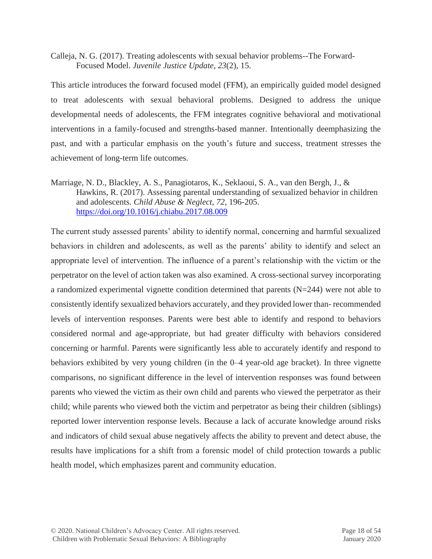Calleja, N. G. (2017). Treating adolescents with sexual behavior problems--The Forward-Focused Model. *Juvenile Justice Update*, *23*(2), 15.

This article introduces the forward focused model (FFM), an empirically guided model designed to treat adolescents with sexual behavioral problems. Designed to address the unique developmental needs of adolescents, the FFM integrates cognitive behavioral and motivational interventions in a family-focused and strengths-based manner. Intentionally deemphasizing the past, and with a particular emphasis on the youth's future and success, treatment stresses the achievement of long-term life outcomes.

Marriage, N. D., Blackley, A. S., Panagiotaros, K., Seklaoui, S. A., van den Bergh, J., & Hawkins, R. (2017). Assessing parental understanding of sexualized behavior in children and adolescents. *Child Abuse & Neglect*, *72*, 196-205. <https://doi.org/10.1016/j.chiabu.2017.08.009>

The current study assessed parents' ability to identify normal, concerning and harmful sexualized behaviors in children and adolescents, as well as the parents' ability to identify and select an appropriate level of intervention. The influence of a parent's relationship with the victim or the perpetrator on the level of action taken was also examined. A cross-sectional survey incorporating a randomized experimental vignette condition determined that parents (N=244) were not able to consistently identify sexualized behaviors accurately, and they provided lower than- recommended levels of intervention responses. Parents were best able to identify and respond to behaviors considered normal and age-appropriate, but had greater difficulty with behaviors considered concerning or harmful. Parents were significantly less able to accurately identify and respond to behaviors exhibited by very young children (in the 0–4 year-old age bracket). In three vignette comparisons, no significant difference in the level of intervention responses was found between parents who viewed the victim as their own child and parents who viewed the perpetrator as their child; while parents who viewed both the victim and perpetrator as being their children (siblings) reported lower intervention response levels. Because a lack of accurate knowledge around risks and indicators of child sexual abuse negatively affects the ability to prevent and detect abuse, the results have implications for a shift from a forensic model of child protection towards a public health model, which emphasizes parent and community education.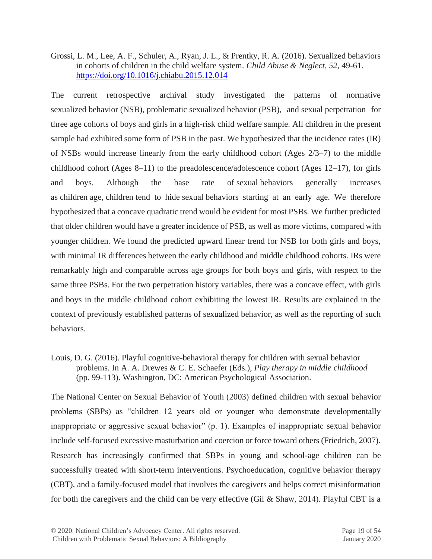Grossi, L. M., Lee, A. F., Schuler, A., Ryan, J. L., & Prentky, R. A. (2016). Sexualized behaviors in cohorts of children in the child welfare system. *Child Abuse & Neglect*, *52*, 49-61. <https://doi.org/10.1016/j.chiabu.2015.12.014>

The current retrospective archival study investigated the patterns of normative sexualized behavior (NSB), problematic sexualized behavior (PSB), and sexual perpetration for three age cohorts of boys and girls in a high-risk child welfare sample. All children in the present sample had exhibited some form of PSB in the past. We hypothesized that the incidence rates (IR) of NSBs would increase linearly from the early childhood cohort (Ages 2/3–7) to the middle childhood cohort (Ages 8–11) to the preadolescence/adolescence cohort (Ages 12–17), for girls and boys. Although the base rate of sexual behaviors generally increases as children age, children tend to hide sexual behaviors starting at an early age. We therefore hypothesized that a concave quadratic trend would be evident for most PSBs. We further predicted that older children would have a greater incidence of PSB, as well as more victims, compared with younger children. We found the predicted upward linear trend for NSB for both girls and boys, with minimal IR differences between the early childhood and middle childhood cohorts. IRs were remarkably high and comparable across age groups for both boys and girls, with respect to the same three PSBs. For the two perpetration history variables, there was a concave effect, with girls and boys in the middle childhood cohort exhibiting the lowest IR. Results are explained in the context of previously established patterns of sexualized behavior, as well as the reporting of such behaviors.

Louis, D. G. (2016). Playful cognitive-behavioral therapy for children with sexual behavior problems. In A. A. Drewes & C. E. Schaefer (Eds.), *Play therapy in middle childhood*  (pp. 99-113). Washington, DC: American Psychological Association.

The National Center on Sexual Behavior of Youth (2003) defined children with sexual behavior problems (SBPs) as "children 12 years old or younger who demonstrate developmentally inappropriate or aggressive sexual behavior" (p. 1). Examples of inappropriate sexual behavior include self-focused excessive masturbation and coercion or force toward others (Friedrich, 2007). Research has increasingly confirmed that SBPs in young and school-age children can be successfully treated with short-term interventions. Psychoeducation, cognitive behavior therapy (CBT), and a family-focused model that involves the caregivers and helps correct misinformation for both the caregivers and the child can be very effective (Gil & Shaw, 2014). Playful CBT is a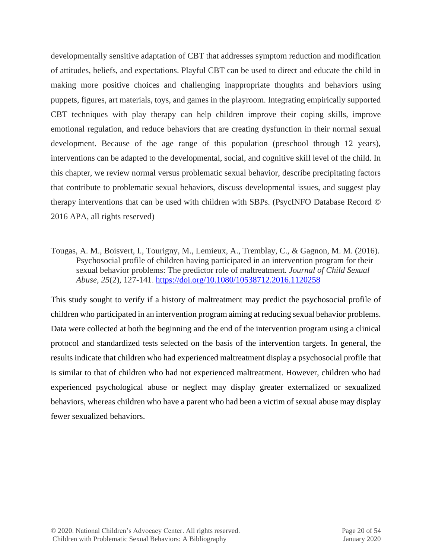developmentally sensitive adaptation of CBT that addresses symptom reduction and modification of attitudes, beliefs, and expectations. Playful CBT can be used to direct and educate the child in making more positive choices and challenging inappropriate thoughts and behaviors using puppets, figures, art materials, toys, and games in the playroom. Integrating empirically supported CBT techniques with play therapy can help children improve their coping skills, improve emotional regulation, and reduce behaviors that are creating dysfunction in their normal sexual development. Because of the age range of this population (preschool through 12 years), interventions can be adapted to the developmental, social, and cognitive skill level of the child. In this chapter, we review normal versus problematic sexual behavior, describe precipitating factors that contribute to problematic sexual behaviors, discuss developmental issues, and suggest play therapy interventions that can be used with children with SBPs. (PsycINFO Database Record © 2016 APA, all rights reserved)

Tougas, A. M., Boisvert, I., Tourigny, M., Lemieux, A., Tremblay, C., & Gagnon, M. M. (2016). Psychosocial profile of children having participated in an intervention program for their sexual behavior problems: The predictor role of maltreatment. *Journal of Child Sexual Abuse*, *25*(2), 127-141. <https://doi.org/10.1080/10538712.2016.1120258>

This study sought to verify if a history of maltreatment may predict the psychosocial profile of children who participated in an intervention program aiming at reducing sexual behavior problems. Data were collected at both the beginning and the end of the intervention program using a clinical protocol and standardized tests selected on the basis of the intervention targets. In general, the results indicate that children who had experienced maltreatment display a psychosocial profile that is similar to that of children who had not experienced maltreatment. However, children who had experienced psychological abuse or neglect may display greater externalized or sexualized behaviors, whereas children who have a parent who had been a victim of sexual abuse may display fewer sexualized behaviors.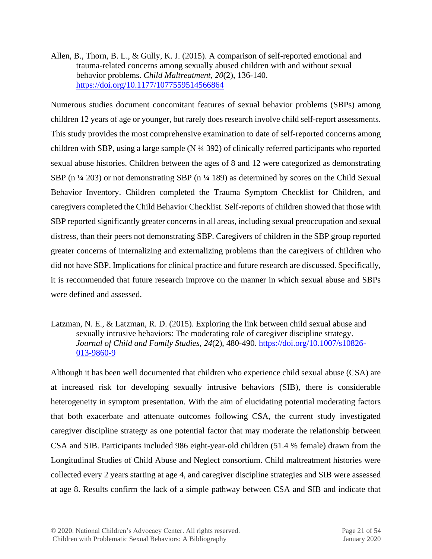Allen, B., Thorn, B. L., & Gully, K. J. (2015). A comparison of self-reported emotional and trauma-related concerns among sexually abused children with and without sexual behavior problems. *Child Maltreatment*, *20*(2), 136-140. <https://doi.org/10.1177/1077559514566864>

Numerous studies document concomitant features of sexual behavior problems (SBPs) among children 12 years of age or younger, but rarely does research involve child self-report assessments. This study provides the most comprehensive examination to date of self-reported concerns among children with SBP, using a large sample (N ¼ 392) of clinically referred participants who reported sexual abuse histories. Children between the ages of 8 and 12 were categorized as demonstrating SBP (n ¼ 203) or not demonstrating SBP (n ¼ 189) as determined by scores on the Child Sexual Behavior Inventory. Children completed the Trauma Symptom Checklist for Children, and caregivers completed the Child Behavior Checklist. Self-reports of children showed that those with SBP reported significantly greater concerns in all areas, including sexual preoccupation and sexual distress, than their peers not demonstrating SBP. Caregivers of children in the SBP group reported greater concerns of internalizing and externalizing problems than the caregivers of children who did not have SBP. Implications for clinical practice and future research are discussed. Specifically, it is recommended that future research improve on the manner in which sexual abuse and SBPs were defined and assessed.

#### Latzman, N. E., & Latzman, R. D. (2015). Exploring the link between child sexual abuse and sexually intrusive behaviors: The moderating role of caregiver discipline strategy. *Journal of Child and Family Studies, 24*(2), 480-490. [https://doi.org/10.1007/s10826-](https://doi.org/10.1007/s10826-013-9860-9) [013-9860-9](https://doi.org/10.1007/s10826-013-9860-9)

Although it has been well documented that children who experience child sexual abuse (CSA) are at increased risk for developing sexually intrusive behaviors (SIB), there is considerable heterogeneity in symptom presentation. With the aim of elucidating potential moderating factors that both exacerbate and attenuate outcomes following CSA, the current study investigated caregiver discipline strategy as one potential factor that may moderate the relationship between CSA and SIB. Participants included 986 eight-year-old children (51.4 % female) drawn from the Longitudinal Studies of Child Abuse and Neglect consortium. Child maltreatment histories were collected every 2 years starting at age 4, and caregiver discipline strategies and SIB were assessed at age 8. Results confirm the lack of a simple pathway between CSA and SIB and indicate that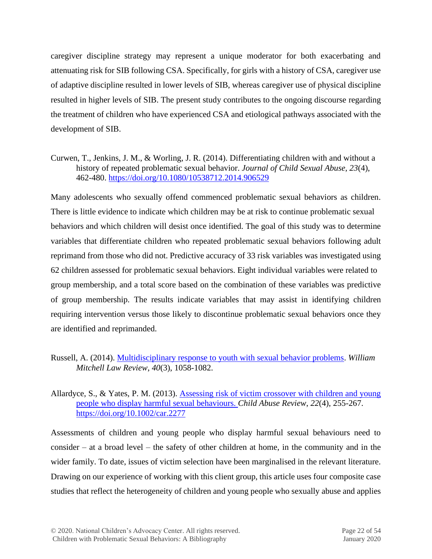caregiver discipline strategy may represent a unique moderator for both exacerbating and attenuating risk for SIB following CSA. Specifically, for girls with a history of CSA, caregiver use of adaptive discipline resulted in lower levels of SIB, whereas caregiver use of physical discipline resulted in higher levels of SIB. The present study contributes to the ongoing discourse regarding the treatment of children who have experienced CSA and etiological pathways associated with the development of SIB.

Curwen, T., Jenkins, J. M., & Worling, J. R. (2014). Differentiating children with and without a history of repeated problematic sexual behavior. *Journal of Child Sexual Abuse, 23*(4), 462-480.<https://doi.org/10.1080/10538712.2014.906529>

Many adolescents who sexually offend commenced problematic sexual behaviors as children. There is little evidence to indicate which children may be at risk to continue problematic sexual behaviors and which children will desist once identified. The goal of this study was to determine variables that differentiate children who repeated problematic sexual behaviors following adult reprimand from those who did not. Predictive accuracy of 33 risk variables was investigated using 62 children assessed for problematic sexual behaviors. Eight individual variables were related to group membership, and a total score based on the combination of these variables was predictive of group membership. The results indicate variables that may assist in identifying children requiring intervention versus those likely to discontinue problematic sexual behaviors once they are identified and reprimanded.

- Russell, A. (2014). [Multidisciplinary response to youth with sexual behavior problems.](http://tinyurl.com/ouvd9ay) *William Mitchell Law Review*, *40*(3), 1058-1082.
- Allardyce, S., & Yates, P. M. (2013). [Assessing risk of victim crossover with children and young](https://onlinelibrary.wiley.com/doi/full/10.1002/car.2277)  [people who display harmful sexual behaviours.](https://onlinelibrary.wiley.com/doi/full/10.1002/car.2277) *Child Abuse Review*, *22*(4), 255-267. <https://doi.org/10.1002/car.2277>

Assessments of children and young people who display harmful sexual behaviours need to consider – at a broad level – the safety of other children at home, in the community and in the wider family. To date, issues of victim selection have been marginalised in the relevant literature. Drawing on our experience of working with this client group, this article uses four composite case studies that reflect the heterogeneity of children and young people who sexually abuse and applies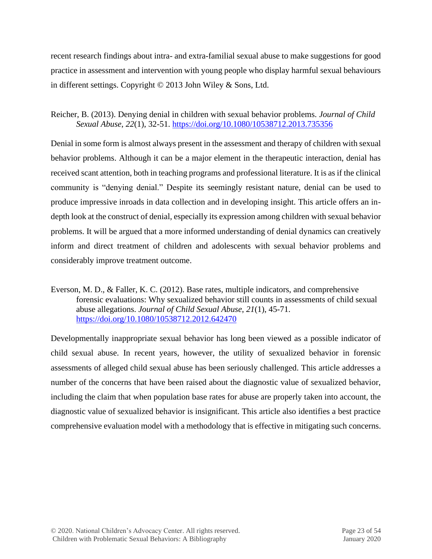recent research findings about intra- and extra-familial sexual abuse to make suggestions for good practice in assessment and intervention with young people who display harmful sexual behaviours in different settings. Copyright © 2013 John Wiley & Sons, Ltd.

#### Reicher, B. (2013). Denying denial in children with sexual behavior problems. *Journal of Child Sexual Abuse*, *22*(1), 32-51. <https://doi.org/10.1080/10538712.2013.735356>

Denial in some form is almost always present in the assessment and therapy of children with sexual behavior problems. Although it can be a major element in the therapeutic interaction, denial has received scant attention, both in teaching programs and professional literature. It is as if the clinical community is "denying denial." Despite its seemingly resistant nature, denial can be used to produce impressive inroads in data collection and in developing insight. This article offers an indepth look at the construct of denial, especially its expression among children with sexual behavior problems. It will be argued that a more informed understanding of denial dynamics can creatively inform and direct treatment of children and adolescents with sexual behavior problems and considerably improve treatment outcome.

Everson, M. D., & Faller, K. C. (2012). Base rates, multiple indicators, and comprehensive forensic evaluations: Why sexualized behavior still counts in assessments of child sexual abuse allegations. *Journal of Child Sexual Abuse*, *21*(1), 45-71. <https://doi.org/10.1080/10538712.2012.642470>

Developmentally inappropriate sexual behavior has long been viewed as a possible indicator of child sexual abuse. In recent years, however, the utility of sexualized behavior in forensic assessments of alleged child sexual abuse has been seriously challenged. This article addresses a number of the concerns that have been raised about the diagnostic value of sexualized behavior, including the claim that when population base rates for abuse are properly taken into account, the diagnostic value of sexualized behavior is insignificant. This article also identifies a best practice comprehensive evaluation model with a methodology that is effective in mitigating such concerns.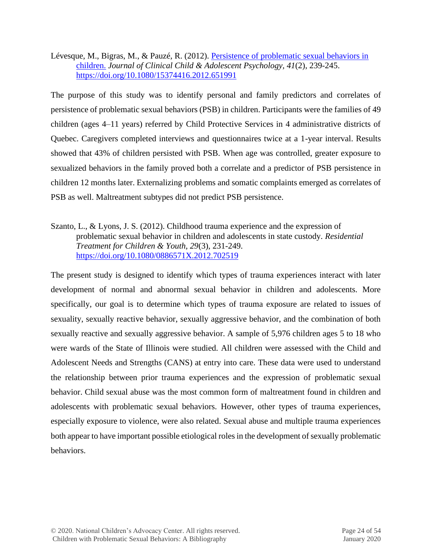Lévesque, M., Bigras, M., & Pauzé, R. (2012). Persistence of problematic sexual behaviors in [children.](http://www.archipel.uqam.ca/4564/1/Persistence_of_Problematic_Sexual_Behaviors_in_Children_LEVESQUE_2012.pdf) *Journal of Clinical Child & Adolescent Psychology, 41*(2), 239-245. <https://doi.org/10.1080/15374416.2012.651991>

The purpose of this study was to identify personal and family predictors and correlates of persistence of problematic sexual behaviors (PSB) in children. Participants were the families of 49 children (ages 4–11 years) referred by Child Protective Services in 4 administrative districts of Quebec. Caregivers completed interviews and questionnaires twice at a 1-year interval. Results showed that 43% of children persisted with PSB. When age was controlled, greater exposure to sexualized behaviors in the family proved both a correlate and a predictor of PSB persistence in children 12 months later. Externalizing problems and somatic complaints emerged as correlates of PSB as well. Maltreatment subtypes did not predict PSB persistence.

#### Szanto, L., & Lyons, J. S. (2012). Childhood trauma experience and the expression of problematic sexual behavior in children and adolescents in state custody*. Residential Treatment for Children & Youth, 29*(3), 231-249. <https://doi.org/10.1080/0886571X.2012.702519>

The present study is designed to identify which types of trauma experiences interact with later development of normal and abnormal sexual behavior in children and adolescents. More specifically, our goal is to determine which types of trauma exposure are related to issues of sexuality, sexually reactive behavior, sexually aggressive behavior, and the combination of both sexually reactive and sexually aggressive behavior. A sample of 5,976 children ages 5 to 18 who were wards of the State of Illinois were studied. All children were assessed with the Child and Adolescent Needs and Strengths (CANS) at entry into care. These data were used to understand the relationship between prior trauma experiences and the expression of problematic sexual behavior. Child sexual abuse was the most common form of maltreatment found in children and adolescents with problematic sexual behaviors. However, other types of trauma experiences, especially exposure to violence, were also related. Sexual abuse and multiple trauma experiences both appear to have important possible etiological roles in the development of sexually problematic behaviors.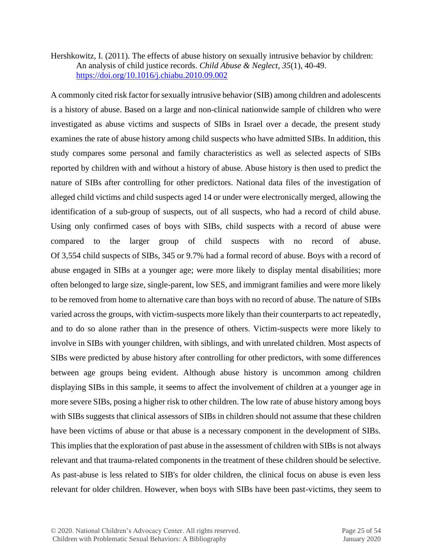Hershkowitz, I. (2011). The effects of abuse history on sexually intrusive behavior by children: An analysis of child justice records. *Child Abuse & Neglect*, *35*(1), 40-49. <https://doi.org/10.1016/j.chiabu.2010.09.002>

A commonly cited risk factor for sexually intrusive behavior (SIB) among children and adolescents is a history of abuse. Based on a large and non-clinical nationwide sample of children who were investigated as abuse victims and suspects of SIBs in Israel over a decade, the present study examines the rate of abuse history among child suspects who have admitted SIBs. In addition, this study compares some personal and family characteristics as well as selected aspects of SIBs reported by children with and without a history of abuse. Abuse history is then used to predict the nature of SIBs after controlling for other predictors. National data files of the investigation of alleged child victims and child suspects aged 14 or under were electronically merged, allowing the identification of a sub-group of suspects, out of all suspects, who had a record of child abuse. Using only confirmed cases of boys with SIBs, child suspects with a record of abuse were compared to the larger group of child suspects with no record of abuse. Of 3,554 child suspects of SIBs, 345 or 9.7% had a formal record of abuse. Boys with a record of abuse engaged in SIBs at a younger age; were more likely to display mental disabilities; more often belonged to large size, single-parent, low SES, and immigrant families and were more likely to be removed from home to alternative care than boys with no record of abuse. The nature of SIBs varied across the groups, with victim-suspects more likely than their counterparts to act repeatedly, and to do so alone rather than in the presence of others. Victim-suspects were more likely to involve in SIBs with younger children, with siblings, and with unrelated children. Most aspects of SIBs were predicted by abuse history after controlling for other predictors, with some differences between age groups being evident. Although abuse history is uncommon among children displaying SIBs in this sample, it seems to affect the involvement of children at a younger age in more severe SIBs, posing a higher risk to other children. The low rate of abuse history among boys with SIBs suggests that clinical assessors of SIBs in children should not assume that these children have been victims of abuse or that abuse is a necessary component in the development of SIBs. This implies that the exploration of past abuse in the assessment of children with SIBs is not always relevant and that trauma-related components in the treatment of these children should be selective. As past-abuse is less related to SIB's for older children, the clinical focus on abuse is even less relevant for older children. However, when boys with SIBs have been past-victims, they seem to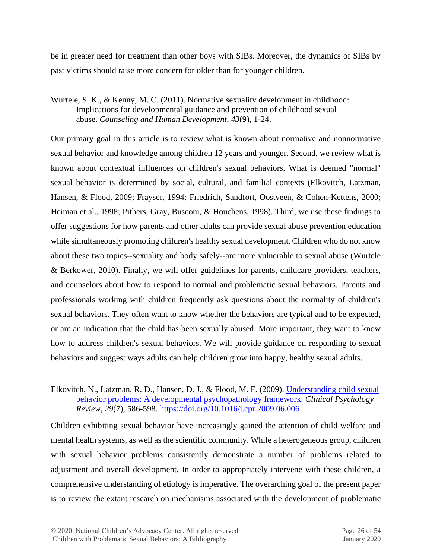be in greater need for treatment than other boys with SIBs. Moreover, the dynamics of SIBs by past victims should raise more concern for older than for younger children.

#### Wurtele, S. K., & Kenny, M. C. (2011). Normative sexuality development in childhood: Implications for developmental guidance and prevention of childhood sexual abuse. *Counseling and Human Development*, *43*(9), 1-24.

Our primary goal in this article is to review what is known about normative and nonnormative sexual behavior and knowledge among children 12 years and younger. Second, we review what is known about contextual influences on children's sexual behaviors. What is deemed "normal" sexual behavior is determined by social, cultural, and familial contexts (Elkovitch, Latzman, Hansen, & Flood, 2009; Frayser, 1994; Friedrich, Sandfort, Oostveen, & Cohen-Kettens, 2000; Heiman et al., 1998; Pithers, Gray, Busconi, & Houchens, 1998). Third, we use these findings to offer suggestions for how parents and other adults can provide sexual abuse prevention education while simultaneously promoting children's healthy sexual development. Children who do not know about these two topics--sexuality and body safely--are more vulnerable to sexual abuse (Wurtele & Berkower, 2010). Finally, we will offer guidelines for parents, childcare providers, teachers, and counselors about how to respond to normal and problematic sexual behaviors. Parents and professionals working with children frequently ask questions about the normality of children's sexual behaviors. They often want to know whether the behaviors are typical and to be expected, or arc an indication that the child has been sexually abused. More important, they want to know how to address children's sexual behaviors. We will provide guidance on responding to sexual behaviors and suggest ways adults can help children grow into happy, healthy sexual adults.

#### Elkovitch, N., Latzman, R. D., Hansen, D. J., & Flood, M. F. (2009). [Understanding child sexual](https://digitalcommons.unl.edu/cgi/viewcontent.cgi?article=1402&context=psychfacpub)  [behavior problems: A developmental psychopathology framework](https://digitalcommons.unl.edu/cgi/viewcontent.cgi?article=1402&context=psychfacpub)*. Clinical Psychology Review, 29*(7), 586-598. <https://doi.org/10.1016/j.cpr.2009.06.006>

Children exhibiting sexual behavior have increasingly gained the attention of child welfare and mental health systems, as well as the scientific community. While a heterogeneous group, children with sexual behavior problems consistently demonstrate a number of problems related to adjustment and overall development. In order to appropriately intervene with these children, a comprehensive understanding of etiology is imperative. The overarching goal of the present paper is to review the extant research on mechanisms associated with the development of problematic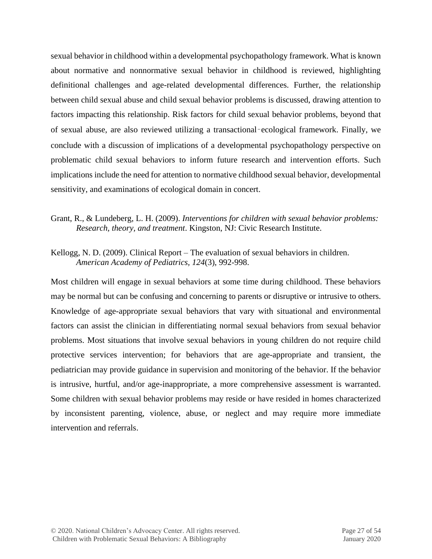sexual behavior in childhood within a developmental psychopathology framework. What is known about normative and nonnormative sexual behavior in childhood is reviewed, highlighting definitional challenges and age-related developmental differences. Further, the relationship between child sexual abuse and child sexual behavior problems is discussed, drawing attention to factors impacting this relationship. Risk factors for child sexual behavior problems, beyond that of sexual abuse, are also reviewed utilizing a transactional–ecological framework. Finally, we conclude with a discussion of implications of a developmental psychopathology perspective on problematic child sexual behaviors to inform future research and intervention efforts. Such implications include the need for attention to normative childhood sexual behavior, developmental sensitivity, and examinations of ecological domain in concert.

- Grant, R., & Lundeberg, L. H. (2009). *Interventions for children with sexual behavior problems: Research, theory, and treatment*. Kingston, NJ: Civic Research Institute.
- Kellogg, N. D. (2009). Clinical Report The evaluation of sexual behaviors in children. *American Academy of Pediatrics, 124*(3), 992-998.

Most children will engage in sexual behaviors at some time during childhood. These behaviors may be normal but can be confusing and concerning to parents or disruptive or intrusive to others. Knowledge of age-appropriate sexual behaviors that vary with situational and environmental factors can assist the clinician in differentiating normal sexual behaviors from sexual behavior problems. Most situations that involve sexual behaviors in young children do not require child protective services intervention; for behaviors that are age-appropriate and transient, the pediatrician may provide guidance in supervision and monitoring of the behavior. If the behavior is intrusive, hurtful, and/or age-inappropriate, a more comprehensive assessment is warranted. Some children with sexual behavior problems may reside or have resided in homes characterized by inconsistent parenting, violence, abuse, or neglect and may require more immediate intervention and referrals.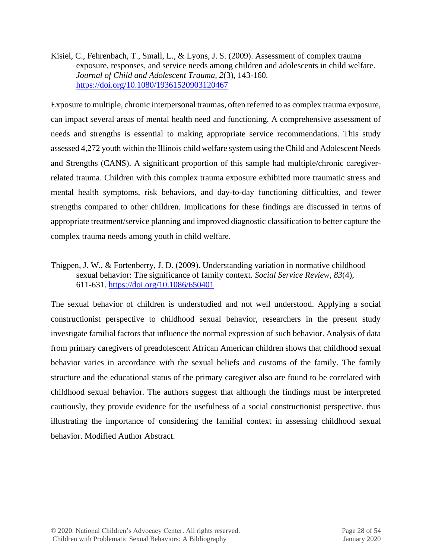Kisiel, C., Fehrenbach, T., Small, L., & Lyons, J. S. (2009). Assessment of complex trauma exposure, responses, and service needs among children and adolescents in child welfare. *Journal of Child and Adolescent Trauma, 2*(3), 143-160. <https://doi.org/10.1080/19361520903120467>

Exposure to multiple, chronic interpersonal traumas, often referred to as complex trauma exposure, can impact several areas of mental health need and functioning. A comprehensive assessment of needs and strengths is essential to making appropriate service recommendations. This study assessed 4,272 youth within the Illinois child welfare system using the Child and Adolescent Needs and Strengths (CANS). A significant proportion of this sample had multiple/chronic caregiverrelated trauma. Children with this complex trauma exposure exhibited more traumatic stress and mental health symptoms, risk behaviors, and day-to-day functioning difficulties, and fewer strengths compared to other children. Implications for these findings are discussed in terms of appropriate treatment/service planning and improved diagnostic classification to better capture the complex trauma needs among youth in child welfare.

Thigpen, J. W., & Fortenberry, J. D. (2009). Understanding variation in normative childhood sexual behavior: The significance of family context. *Social Service Review*, *83*(4), 611-631.<https://doi.org/10.1086/650401>

The sexual behavior of children is understudied and not well understood. Applying a social constructionist perspective to childhood sexual behavior, researchers in the present study investigate familial factors that influence the normal expression of such behavior. Analysis of data from primary caregivers of preadolescent African American children shows that childhood sexual behavior varies in accordance with the sexual beliefs and customs of the family. The family structure and the educational status of the primary caregiver also are found to be correlated with childhood sexual behavior. The authors suggest that although the findings must be interpreted cautiously, they provide evidence for the usefulness of a social constructionist perspective, thus illustrating the importance of considering the familial context in assessing childhood sexual behavior. Modified Author Abstract.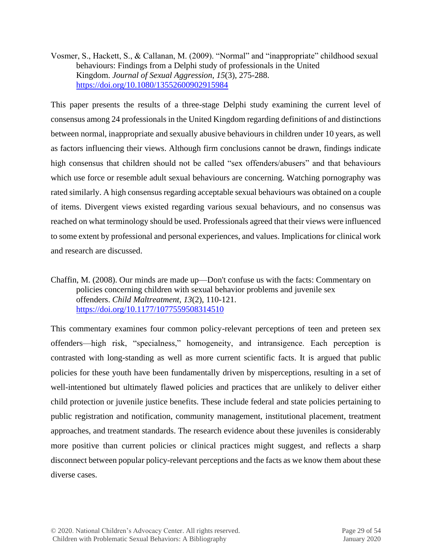Vosmer, S., Hackett, S., & Callanan, M. (2009). "Normal" and "inappropriate" childhood sexual behaviours: Findings from a Delphi study of professionals in the United Kingdom. *Journal of Sexual Aggression*, *15*(3), 275-288. <https://doi.org/10.1080/13552600902915984>

This paper presents the results of a three-stage Delphi study examining the current level of consensus among 24 professionals in the United Kingdom regarding definitions of and distinctions between normal, inappropriate and sexually abusive behaviours in children under 10 years, as well as factors influencing their views. Although firm conclusions cannot be drawn, findings indicate high consensus that children should not be called "sex offenders/abusers" and that behaviours which use force or resemble adult sexual behaviours are concerning. Watching pornography was rated similarly. A high consensus regarding acceptable sexual behaviours was obtained on a couple of items. Divergent views existed regarding various sexual behaviours, and no consensus was reached on what terminology should be used. Professionals agreed that their views were influenced to some extent by professional and personal experiences, and values. Implications for clinical work and research are discussed.

Chaffin, M. (2008). Our minds are made up—Don't confuse us with the facts: Commentary on policies concerning children with sexual behavior problems and juvenile sex offenders. *Child Maltreatment*, *13*(2), 110-121. <https://doi.org/10.1177/1077559508314510>

This commentary examines four common policy-relevant perceptions of teen and preteen sex offenders—high risk, "specialness," homogeneity, and intransigence. Each perception is contrasted with long-standing as well as more current scientific facts. It is argued that public policies for these youth have been fundamentally driven by misperceptions, resulting in a set of well-intentioned but ultimately flawed policies and practices that are unlikely to deliver either child protection or juvenile justice benefits. These include federal and state policies pertaining to public registration and notification, community management, institutional placement, treatment approaches, and treatment standards. The research evidence about these juveniles is considerably more positive than current policies or clinical practices might suggest, and reflects a sharp disconnect between popular policy-relevant perceptions and the facts as we know them about these diverse cases.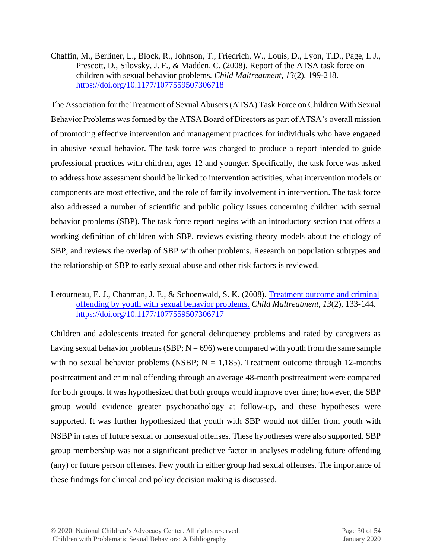Chaffin, M., Berliner, L., Block, R., Johnson, T., Friedrich, W., Louis, D., Lyon, T.D., Page, I. J., Prescott, D., Silovsky, J. F., & Madden. C. (2008). Report of the ATSA task force on children with sexual behavior problems*. Child Maltreatment, 13*(2), 199-218. <https://doi.org/10.1177/1077559507306718>

The Association for the Treatment of Sexual Abusers (ATSA) Task Force on Children With Sexual Behavior Problems was formed by the ATSA Board of Directors as part of ATSA's overall mission of promoting effective intervention and management practices for individuals who have engaged in abusive sexual behavior. The task force was charged to produce a report intended to guide professional practices with children, ages 12 and younger. Specifically, the task force was asked to address how assessment should be linked to intervention activities, what intervention models or components are most effective, and the role of family involvement in intervention. The task force also addressed a number of scientific and public policy issues concerning children with sexual behavior problems (SBP). The task force report begins with an introductory section that offers a working definition of children with SBP, reviews existing theory models about the etiology of SBP, and reviews the overlap of SBP with other problems. Research on population subtypes and the relationship of SBP to early sexual abuse and other risk factors is reviewed.

#### Letourneau, E. J., Chapman, J. E., & Schoenwald, S. K. (2008). Treatment outcome and criminal [offending by youth with sexual behavior problems.](https://www.ncbi.nlm.nih.gov/pmc/articles/PMC5417702/) *Child Maltreatment, 13*(2), 133-144. <https://doi.org/10.1177/1077559507306717>

Children and adolescents treated for general delinquency problems and rated by caregivers as having sexual behavior problems (SBP;  $N = 696$ ) were compared with youth from the same sample with no sexual behavior problems (NSBP;  $N = 1,185$ ). Treatment outcome through 12-months posttreatment and criminal offending through an average 48-month posttreatment were compared for both groups. It was hypothesized that both groups would improve over time; however, the SBP group would evidence greater psychopathology at follow-up, and these hypotheses were supported. It was further hypothesized that youth with SBP would not differ from youth with NSBP in rates of future sexual or nonsexual offenses. These hypotheses were also supported. SBP group membership was not a significant predictive factor in analyses modeling future offending (any) or future person offenses. Few youth in either group had sexual offenses. The importance of these findings for clinical and policy decision making is discussed.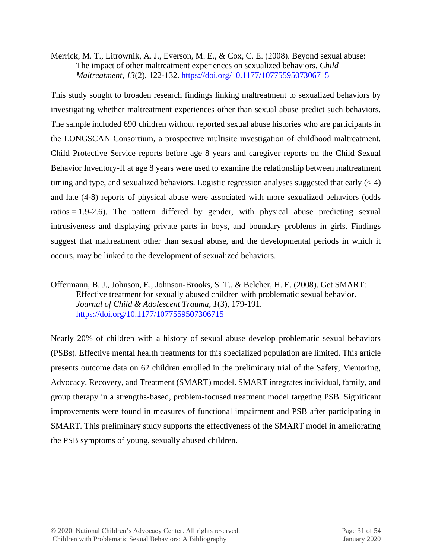Merrick, M. T., Litrownik, A. J., Everson, M. E., & Cox, C. E. (2008). Beyond sexual abuse: The impact of other maltreatment experiences on sexualized behaviors. *Child Maltreatment, 13*(2), 122-132. <https://doi.org/10.1177/1077559507306715>

This study sought to broaden research findings linking maltreatment to sexualized behaviors by investigating whether maltreatment experiences other than sexual abuse predict such behaviors. The sample included 690 children without reported sexual abuse histories who are participants in the LONGSCAN Consortium, a prospective multisite investigation of childhood maltreatment. Child Protective Service reports before age 8 years and caregiver reports on the Child Sexual Behavior Inventory-II at age 8 years were used to examine the relationship between maltreatment timing and type, and sexualized behaviors. Logistic regression analyses suggested that early  $(< 4)$ and late (4-8) reports of physical abuse were associated with more sexualized behaviors (odds ratios  $= 1.9-2.6$ ). The pattern differed by gender, with physical abuse predicting sexual intrusiveness and displaying private parts in boys, and boundary problems in girls. Findings suggest that maltreatment other than sexual abuse, and the developmental periods in which it occurs, may be linked to the development of sexualized behaviors.

Offermann, B. J., Johnson, E., Johnson-Brooks, S. T., & Belcher, H. E. (2008). Get SMART: Effective treatment for sexually abused children with problematic sexual behavior. *Journal of Child & Adolescent Trauma, 1*(3), 179-191. <https://doi.org/10.1177/1077559507306715>

Nearly 20% of children with a history of sexual abuse develop problematic sexual behaviors (PSBs). Effective mental health treatments for this specialized population are limited. This article presents outcome data on 62 children enrolled in the preliminary trial of the Safety, Mentoring, Advocacy, Recovery, and Treatment (SMART) model. SMART integrates individual, family, and group therapy in a strengths-based, problem-focused treatment model targeting PSB. Significant improvements were found in measures of functional impairment and PSB after participating in SMART. This preliminary study supports the effectiveness of the SMART model in ameliorating the PSB symptoms of young, sexually abused children.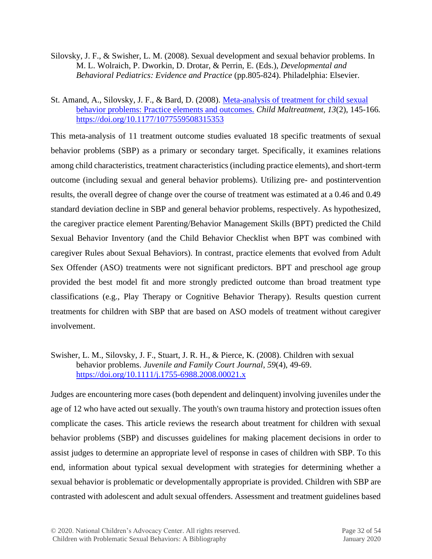- Silovsky, J. F., & Swisher, L. M. (2008). Sexual development and sexual behavior problems. In M. L. Wolraich, P. Dworkin, D. Drotar, & Perrin, E. (Eds.), *Developmental and Behavioral Pediatrics: Evidence and Practice* (pp.805-824). Philadelphia: Elsevier.
- St. Amand, A., Silovsky, J. F., & Bard, D. (2008). [Meta-analysis of treatment for child sexual](https://www.ncbi.nlm.nih.gov/books/NBK76084/)  [behavior problems: Practice elements and outcomes.](https://www.ncbi.nlm.nih.gov/books/NBK76084/) *Child Maltreatment, 13*(2), 145-166*.* <https://doi.org/10.1177/1077559508315353>

This meta-analysis of 11 treatment outcome studies evaluated 18 specific treatments of sexual behavior problems (SBP) as a primary or secondary target. Specifically, it examines relations among child characteristics, treatment characteristics (including practice elements), and short-term outcome (including sexual and general behavior problems). Utilizing pre- and postintervention results, the overall degree of change over the course of treatment was estimated at a 0.46 and 0.49 standard deviation decline in SBP and general behavior problems, respectively. As hypothesized, the caregiver practice element Parenting/Behavior Management Skills (BPT) predicted the Child Sexual Behavior Inventory (and the Child Behavior Checklist when BPT was combined with caregiver Rules about Sexual Behaviors). In contrast, practice elements that evolved from Adult Sex Offender (ASO) treatments were not significant predictors. BPT and preschool age group provided the best model fit and more strongly predicted outcome than broad treatment type classifications (e.g., Play Therapy or Cognitive Behavior Therapy). Results question current treatments for children with SBP that are based on ASO models of treatment without caregiver involvement.

Swisher, L. M., Silovsky, J. F., Stuart, J. R. H., & Pierce, K. (2008). Children with sexual behavior problems. *Juvenile and Family Court Journal*, *59*(4), 49-69. <https://doi.org/10.1111/j.1755-6988.2008.00021.x>

Judges are encountering more cases (both dependent and delinquent) involving juveniles under the age of 12 who have acted out sexually. The youth's own trauma history and protection issues often complicate the cases. This article reviews the research about treatment for children with sexual behavior problems (SBP) and discusses guidelines for making placement decisions in order to assist judges to determine an appropriate level of response in cases of children with SBP. To this end, information about typical sexual development with strategies for determining whether a sexual behavior is problematic or developmentally appropriate is provided. Children with SBP are contrasted with adolescent and adult sexual offenders. Assessment and treatment guidelines based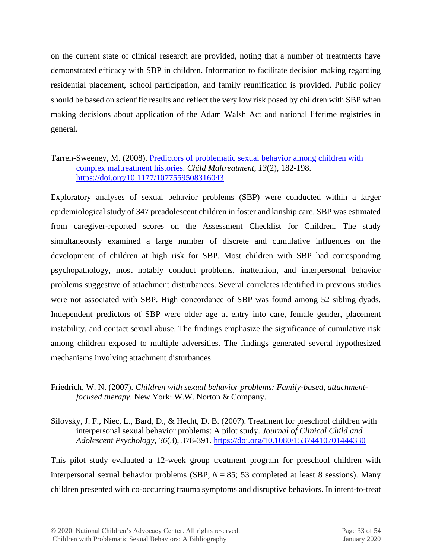on the current state of clinical research are provided, noting that a number of treatments have demonstrated efficacy with SBP in children. Information to facilitate decision making regarding residential placement, school participation, and family reunification is provided. Public policy should be based on scientific results and reflect the very low risk posed by children with SBP when making decisions about application of the Adam Walsh Act and national lifetime registries in general.

#### Tarren-Sweeney, M. (2008). [Predictors of problematic sexual behavior](http://citeseerx.ist.psu.edu/viewdoc/download?doi=10.1.1.881.8929&rep=rep1&type=pdf) among children with [complex maltreatment histories.](http://citeseerx.ist.psu.edu/viewdoc/download?doi=10.1.1.881.8929&rep=rep1&type=pdf) *Child Maltreatment, 13*(2), 182-198. <https://doi.org/10.1177/1077559508316043>

Exploratory analyses of sexual behavior problems (SBP) were conducted within a larger epidemiological study of 347 preadolescent children in foster and kinship care. SBP was estimated from caregiver-reported scores on the Assessment Checklist for Children. The study simultaneously examined a large number of discrete and cumulative influences on the development of children at high risk for SBP. Most children with SBP had corresponding psychopathology, most notably conduct problems, inattention, and interpersonal behavior problems suggestive of attachment disturbances. Several correlates identified in previous studies were not associated with SBP. High concordance of SBP was found among 52 sibling dyads. Independent predictors of SBP were older age at entry into care, female gender, placement instability, and contact sexual abuse. The findings emphasize the significance of cumulative risk among children exposed to multiple adversities. The findings generated several hypothesized mechanisms involving attachment disturbances.

#### Friedrich, W. N. (2007). *Children with sexual behavior problems: Family-based, attachmentfocused therapy*. New York: W.W. Norton & Company.

Silovsky, J. F., Niec, L., Bard, D., & Hecht, D. B. (2007). Treatment for preschool children with interpersonal sexual behavior problems: A pilot study. *Journal of Clinical Child and Adolescent Psychology*, *36*(3), 378-391. <https://doi.org/10.1080/15374410701444330>

This pilot study evaluated a 12-week group treatment program for preschool children with interpersonal sexual behavior problems (SBP;  $N = 85$ ; 53 completed at least 8 sessions). Many children presented with co-occurring trauma symptoms and disruptive behaviors. In intent-to-treat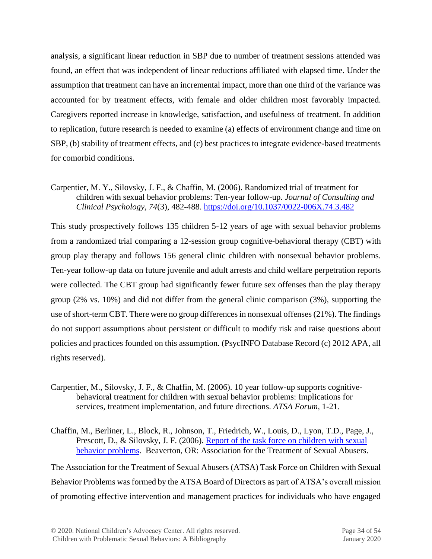analysis, a significant linear reduction in SBP due to number of treatment sessions attended was found, an effect that was independent of linear reductions affiliated with elapsed time. Under the assumption that treatment can have an incremental impact, more than one third of the variance was accounted for by treatment effects, with female and older children most favorably impacted. Caregivers reported increase in knowledge, satisfaction, and usefulness of treatment. In addition to replication, future research is needed to examine (a) effects of environment change and time on SBP, (b) stability of treatment effects, and (c) best practices to integrate evidence-based treatments for comorbid conditions.

Carpentier, M. Y., Silovsky, J. F., & Chaffin, M. (2006). Randomized trial of treatment for children with sexual behavior problems: Ten-year follow-up. *Journal of Consulting and Clinical Psychology, 74*(3), 482-488. <https://doi.org/10.1037/0022-006X.74.3.482>

This study prospectively follows 135 children 5-12 years of age with sexual behavior problems from a randomized trial comparing a 12-session group cognitive-behavioral therapy (CBT) with group play therapy and follows 156 general clinic children with nonsexual behavior problems. Ten-year follow-up data on future juvenile and adult arrests and child welfare perpetration reports were collected. The CBT group had significantly fewer future sex offenses than the play therapy group (2% vs. 10%) and did not differ from the general clinic comparison (3%), supporting the use of short-term CBT. There were no group differences in nonsexual offenses (21%). The findings do not support assumptions about persistent or difficult to modify risk and raise questions about policies and practices founded on this assumption. (PsycINFO Database Record (c) 2012 APA, all rights reserved).

Carpentier, M., Silovsky, J. F., & Chaffin, M. (2006). 10 year follow-up supports cognitivebehavioral treatment for children with sexual behavior problems: Implications for services, treatment implementation, and future directions. *ATSA Forum*, 1-21.

Chaffin, M., Berliner, L., Block, R., Johnson, T., Friedrich, W., Louis, D., Lyon, T.D., Page, J., Prescott, D., & Silovsky, J. F. (2006). Report of the task force on children with sexual [behavior problems.](http://www.atsa.com/sites/default/files/Report-TFCSBP.pdf) Beaverton, OR: Association for the Treatment of Sexual Abusers.

The Association for the Treatment of Sexual Abusers (ATSA) Task Force on Children with Sexual Behavior Problems was formed by the ATSA Board of Directors as part of ATSA's overall mission of promoting effective intervention and management practices for individuals who have engaged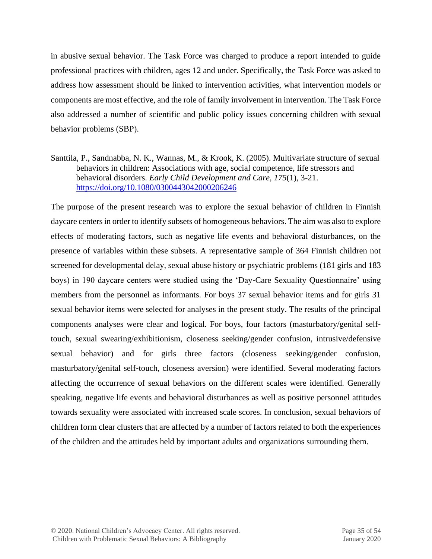in abusive sexual behavior. The Task Force was charged to produce a report intended to guide professional practices with children, ages 12 and under. Specifically, the Task Force was asked to address how assessment should be linked to intervention activities, what intervention models or components are most effective, and the role of family involvement in intervention. The Task Force also addressed a number of scientific and public policy issues concerning children with sexual behavior problems (SBP).

Santtila, P., Sandnabba, N. K., Wannas, M., & Krook, K. (2005). Multivariate structure of sexual behaviors in children: Associations with age, social competence, life stressors and behavioral disorders. *Early Child Development and Care, 175*(1), 3-21. <https://doi.org/10.1080/0300443042000206246>

The purpose of the present research was to explore the sexual behavior of children in Finnish daycare centers in order to identify subsets of homogeneous behaviors. The aim was also to explore effects of moderating factors, such as negative life events and behavioral disturbances, on the presence of variables within these subsets. A representative sample of 364 Finnish children not screened for developmental delay, sexual abuse history or psychiatric problems (181 girls and 183 boys) in 190 daycare centers were studied using the 'Day‐Care Sexuality Questionnaire' using members from the personnel as informants. For boys 37 sexual behavior items and for girls 31 sexual behavior items were selected for analyses in the present study. The results of the principal components analyses were clear and logical. For boys, four factors (masturbatory/genital selftouch, sexual swearing/exhibitionism, closeness seeking/gender confusion, intrusive/defensive sexual behavior) and for girls three factors (closeness seeking/gender confusion, masturbatory/genital self‐touch, closeness aversion) were identified. Several moderating factors affecting the occurrence of sexual behaviors on the different scales were identified. Generally speaking, negative life events and behavioral disturbances as well as positive personnel attitudes towards sexuality were associated with increased scale scores. In conclusion, sexual behaviors of children form clear clusters that are affected by a number of factors related to both the experiences of the children and the attitudes held by important adults and organizations surrounding them.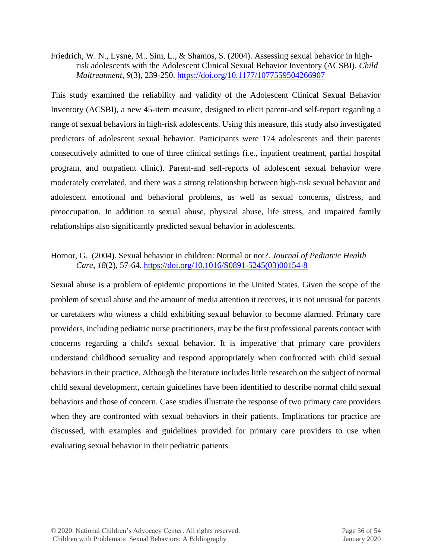Friedrich, W. N., Lysne, M., Sim, L., & Shamos, S. (2004). Assessing sexual behavior in highrisk adolescents with the Adolescent Clinical Sexual Behavior Inventory (ACSBI). *Child Maltreatment, 9*(3), 239-250. <https://doi.org/10.1177/1077559504266907>

This study examined the reliability and validity of the Adolescent Clinical Sexual Behavior Inventory (ACSBI), a new 45-item measure, designed to elicit parent-and self-report regarding a range of sexual behaviors in high-risk adolescents. Using this measure, this study also investigated predictors of adolescent sexual behavior. Participants were 174 adolescents and their parents consecutively admitted to one of three clinical settings (i.e., inpatient treatment, partial hospital program, and outpatient clinic). Parent-and self-reports of adolescent sexual behavior were moderately correlated, and there was a strong relationship between high-risk sexual behavior and adolescent emotional and behavioral problems, as well as sexual concerns, distress, and preoccupation. In addition to sexual abuse, physical abuse, life stress, and impaired family relationships also significantly predicted sexual behavior in adolescents*.*

#### Hornor, G. (2004). Sexual behavior in children: Normal or not?. *Journal of Pediatric Health Care*, *18*(2), 57-64. [https://doi.org/10.1016/S0891-5245\(03\)00154-8](https://doi.org/10.1016/S0891-5245(03)00154-8)

Sexual abuse is a problem of epidemic proportions in the United States. Given the scope of the problem of sexual abuse and the amount of media attention it receives, it is not unusual for parents or caretakers who witness a child exhibiting sexual behavior to become alarmed. Primary care providers, including pediatric nurse practitioners, may be the first professional parents contact with concerns regarding a child's sexual behavior. It is imperative that primary care providers understand childhood sexuality and respond appropriately when confronted with child sexual behaviors in their practice. Although the literature includes little research on the subject of normal child sexual development, certain guidelines have been identified to describe normal child sexual behaviors and those of concern. Case studies illustrate the response of two primary care providers when they are confronted with sexual behaviors in their patients. Implications for practice are discussed, with examples and guidelines provided for primary care providers to use when evaluating sexual behavior in their pediatric patients.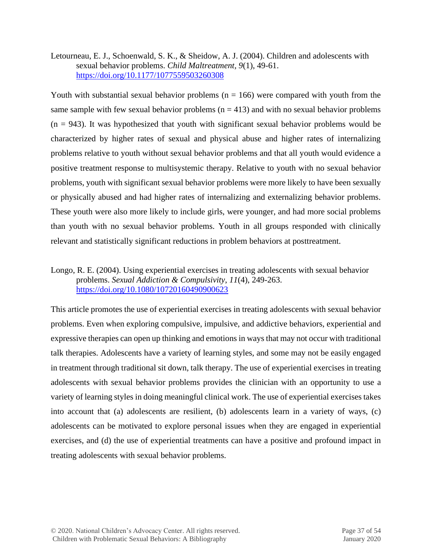Letourneau, E. J., Schoenwald, S. K., & Sheidow, A. J. (2004). Children and adolescents with sexual behavior problems. *Child Maltreatment, 9*(1), 49-61. <https://doi.org/10.1177/1077559503260308>

Youth with substantial sexual behavior problems ( $n = 166$ ) were compared with youth from the same sample with few sexual behavior problems  $(n = 413)$  and with no sexual behavior problems  $(n = 943)$ . It was hypothesized that youth with significant sexual behavior problems would be characterized by higher rates of sexual and physical abuse and higher rates of internalizing problems relative to youth without sexual behavior problems and that all youth would evidence a positive treatment response to multisystemic therapy. Relative to youth with no sexual behavior problems, youth with significant sexual behavior problems were more likely to have been sexually or physically abused and had higher rates of internalizing and externalizing behavior problems. These youth were also more likely to include girls, were younger, and had more social problems than youth with no sexual behavior problems. Youth in all groups responded with clinically relevant and statistically significant reductions in problem behaviors at posttreatment.

Longo, R. E. (2004). Using experiential exercises in treating adolescents with sexual behavior problems. *Sexual Addiction & Compulsivity*, *11*(4), 249-263. <https://doi.org/10.1080/10720160490900623>

This article promotes the use of experiential exercises in treating adolescents with sexual behavior problems. Even when exploring compulsive, impulsive, and addictive behaviors, experiential and expressive therapies can open up thinking and emotions in ways that may not occur with traditional talk therapies. Adolescents have a variety of learning styles, and some may not be easily engaged in treatment through traditional sit down, talk therapy. The use of experiential exercises in treating adolescents with sexual behavior problems provides the clinician with an opportunity to use a variety of learning styles in doing meaningful clinical work. The use of experiential exercises takes into account that (a) adolescents are resilient, (b) adolescents learn in a variety of ways, (c) adolescents can be motivated to explore personal issues when they are engaged in experiential exercises, and (d) the use of experiential treatments can have a positive and profound impact in treating adolescents with sexual behavior problems.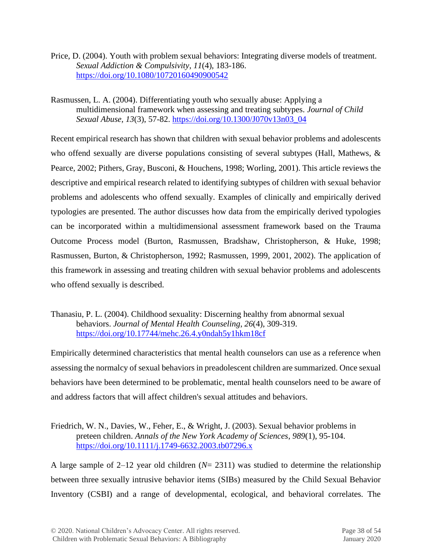Price, D. (2004). Youth with problem sexual behaviors: Integrating diverse models of treatment. *Sexual Addiction & Compulsivity*, *11*(4), 183-186. <https://doi.org/10.1080/10720160490900542>

Rasmussen, L. A. (2004). Differentiating youth who sexually abuse: Applying a multidimensional framework when assessing and treating subtypes. *Journal of Child Sexual Abuse, 13*(3), 57-82. [https://doi.org/10.1300/J070v13n03\\_04](https://doi.org/10.1300/J070v13n03_04)

Recent empirical research has shown that children with sexual behavior problems and adolescents who offend sexually are diverse populations consisting of several subtypes (Hall, Mathews, & Pearce, 2002; Pithers, Gray, Busconi, & Houchens, 1998; Worling, 2001). This article reviews the descriptive and empirical research related to identifying subtypes of children with sexual behavior problems and adolescents who offend sexually. Examples of clinically and empirically derived typologies are presented. The author discusses how data from the empirically derived typologies can be incorporated within a multidimensional assessment framework based on the Trauma Outcome Process model (Burton, Rasmussen, Bradshaw, Christopherson, & Huke, 1998; Rasmussen, Burton, & Christopherson, 1992; Rasmussen, 1999, 2001, 2002). The application of this framework in assessing and treating children with sexual behavior problems and adolescents who offend sexually is described.

#### Thanasiu, P. L. (2004). Childhood sexuality: Discerning healthy from abnormal sexual behaviors. *Journal of Mental Health Counseling*, *26*(4), 309-319. <https://doi.org/10.17744/mehc.26.4.y0ndah5y1hkm18cf>

Empirically determined characteristics that mental health counselors can use as a reference when assessing the normalcy of sexual behaviors in preadolescent children are summarized. Once sexual behaviors have been determined to be problematic, mental health counselors need to be aware of and address factors that will affect children's sexual attitudes and behaviors.

#### Friedrich, W. N., Davies, W., Feher, E., & Wright, J. (2003). Sexual behavior problems in preteen children. *Annals of the New York Academy of Sciences*, *989*(1), 95-104. <https://doi.org/10.1111/j.1749-6632.2003.tb07296.x>

A large sample of 2–12 year old children (*N*= 2311) was studied to determine the relationship between three sexually intrusive behavior items (SIBs) measured by the Child Sexual Behavior Inventory (CSBI) and a range of developmental, ecological, and behavioral correlates. The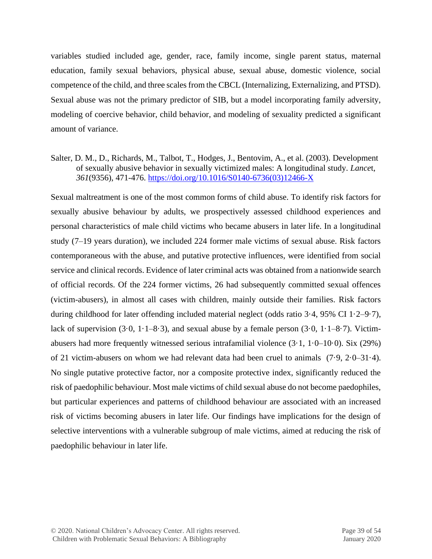variables studied included age, gender, race, family income, single parent status, maternal education, family sexual behaviors, physical abuse, sexual abuse, domestic violence, social competence of the child, and three scales from the CBCL (Internalizing, Externalizing, and PTSD). Sexual abuse was not the primary predictor of SIB, but a model incorporating family adversity, modeling of coercive behavior, child behavior, and modeling of sexuality predicted a significant amount of variance.

Salter, D. M., D., Richards, M., Talbot, T., Hodges, J., Bentovim, A., et al. (2003). Development of sexually abusive behavior in sexually victimized males: A longitudinal study. *Lance*t, *361*(9356), 471-476. [https://doi.org/10.1016/S0140-6736\(03\)12466-X](https://doi.org/10.1016/S0140-6736(03)12466-X)

Sexual maltreatment is one of the most common forms of child abuse. To identify risk factors for sexually abusive behaviour by adults, we prospectively assessed childhood experiences and personal characteristics of male child victims who became abusers in later life. In a longitudinal study (7–19 years duration), we included 224 former male victims of sexual abuse. Risk factors contemporaneous with the abuse, and putative protective influences, were identified from social service and clinical records. Evidence of later criminal acts was obtained from a nationwide search of official records. Of the 224 former victims, 26 had subsequently committed sexual offences (victim-abusers), in almost all cases with children, mainly outside their families. Risk factors during childhood for later offending included material neglect (odds ratio 3·4, 95% CI 1·2–9·7), lack of supervision  $(3.0, 1.1-8.3)$ , and sexual abuse by a female person  $(3.0, 1.1-8.7)$ . Victimabusers had more frequently witnessed serious intrafamilial violence (3·1, 1·0–10·0). Six (29%) of 21 victim-abusers on whom we had relevant data had been cruel to animals (7·9, 2·0–31·4). No single putative protective factor, nor a composite protective index, significantly reduced the risk of paedophilic behaviour. Most male victims of child sexual abuse do not become paedophiles, but particular experiences and patterns of childhood behaviour are associated with an increased risk of victims becoming abusers in later life. Our findings have implications for the design of selective interventions with a vulnerable subgroup of male victims, aimed at reducing the risk of paedophilic behaviour in later life.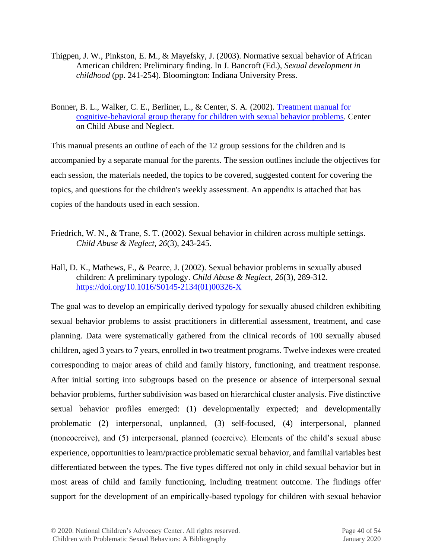- Thigpen, J. W., Pinkston, E. M., & Mayefsky, J. (2003). Normative sexual behavior of African American children: Preliminary finding. In J. Bancroft (Ed.), *Sexual development in childhood* (pp. 241-254). Bloomington: Indiana University Press.
- Bonner, B. L., Walker, C. E., Berliner, L., & Center, S. A. (2002). [Treatment manual for](http://digitalprairie.ok.gov/cdm/singleitem/collection/stgovpub/id/10123/rec/2)  [cognitive-behavioral group therapy for children with sexual behavior problems.](http://digitalprairie.ok.gov/cdm/singleitem/collection/stgovpub/id/10123/rec/2) Center on Child Abuse and Neglect.

This manual presents an outline of each of the 12 group sessions for the children and is accompanied by a separate manual for the parents. The session outlines include the objectives for each session, the materials needed, the topics to be covered, suggested content for covering the topics, and questions for the children's weekly assessment. An appendix is attached that has copies of the handouts used in each session.

- Friedrich, W. N., & Trane, S. T. (2002). Sexual behavior in children across multiple settings. *Child Abuse & Neglect, 26*(3), 243-245.
- Hall, D. K., Mathews, F., & Pearce, J. (2002). Sexual behavior problems in sexually abused children: A preliminary typology. *Child Abuse & Neglect*, *26*(3), 289-312. [https://doi.org/10.1016/S0145-2134\(01\)00326-X](https://doi.org/10.1016/S0145-2134(01)00326-X)

The goal was to develop an empirically derived typology for sexually abused children exhibiting sexual behavior problems to assist practitioners in differential assessment, treatment, and case planning. Data were systematically gathered from the clinical records of 100 sexually abused children, aged 3 years to 7 years, enrolled in two treatment programs. Twelve indexes were created corresponding to major areas of child and family history, functioning, and treatment response. After initial sorting into subgroups based on the presence or absence of interpersonal sexual behavior problems, further subdivision was based on hierarchical cluster analysis. Five distinctive sexual behavior profiles emerged: (1) developmentally expected; and developmentally problematic (2) interpersonal, unplanned, (3) self-focused, (4) interpersonal, planned (noncoercive), and (5) interpersonal, planned (coercive). Elements of the child's sexual abuse experience, opportunities to learn/practice problematic sexual behavior, and familial variables best differentiated between the types. The five types differed not only in child sexual behavior but in most areas of child and family functioning, including treatment outcome. The findings offer support for the development of an empirically-based typology for children with sexual behavior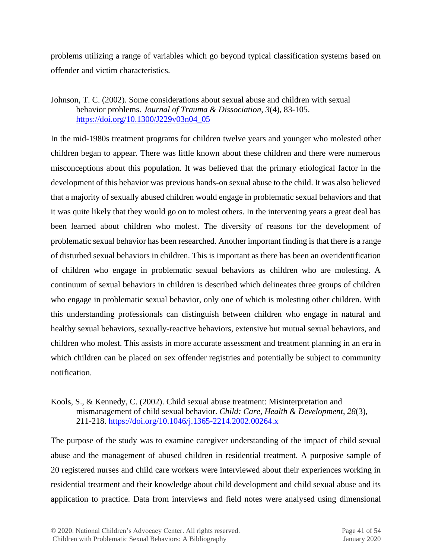problems utilizing a range of variables which go beyond typical classification systems based on offender and victim characteristics.

#### Johnson, T. C. (2002). Some considerations about sexual abuse and children with sexual behavior problems. *Journal of Trauma & Dissociation*, *3*(4), 83-105. [https://doi.org/10.1300/J229v03n04\\_05](https://doi.org/10.1300/J229v03n04_05)

In the mid-1980s treatment programs for children twelve years and younger who molested other children began to appear. There was little known about these children and there were numerous misconceptions about this population. It was believed that the primary etiological factor in the development of this behavior was previous hands-on sexual abuse to the child. It was also believed that a majority of sexually abused children would engage in problematic sexual behaviors and that it was quite likely that they would go on to molest others. In the intervening years a great deal has been learned about children who molest. The diversity of reasons for the development of problematic sexual behavior has been researched. Another important finding is that there is a range of disturbed sexual behaviors in children. This is important as there has been an overidentification of children who engage in problematic sexual behaviors as children who are molesting. A continuum of sexual behaviors in children is described which delineates three groups of children who engage in problematic sexual behavior, only one of which is molesting other children. With this understanding professionals can distinguish between children who engage in natural and healthy sexual behaviors, sexually-reactive behaviors, extensive but mutual sexual behaviors, and children who molest. This assists in more accurate assessment and treatment planning in an era in which children can be placed on sex offender registries and potentially be subject to community notification.

#### Kools, S., & Kennedy, C. (2002). Child sexual abuse treatment: Misinterpretation and mismanagement of child sexual behavior. *Child: Care, Health & Development*, *28*(3), 211-218. <https://doi.org/10.1046/j.1365-2214.2002.00264.x>

The purpose of the study was to examine caregiver understanding of the impact of child sexual abuse and the management of abused children in residential treatment. A purposive sample of 20 registered nurses and child care workers were interviewed about their experiences working in residential treatment and their knowledge about child development and child sexual abuse and its application to practice. Data from interviews and field notes were analysed using dimensional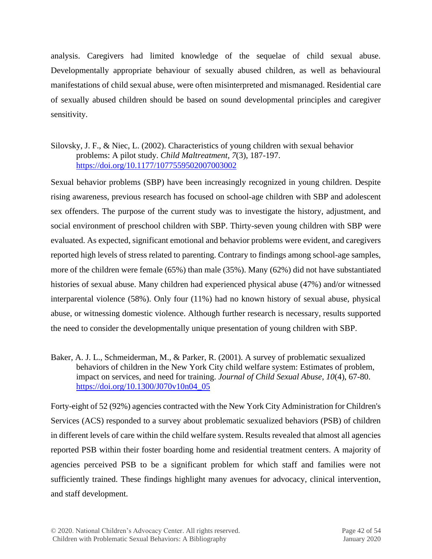analysis. Caregivers had limited knowledge of the sequelae of child sexual abuse. Developmentally appropriate behaviour of sexually abused children, as well as behavioural manifestations of child sexual abuse, were often misinterpreted and mismanaged. Residential care of sexually abused children should be based on sound developmental principles and caregiver sensitivity.

#### Silovsky, J. F., & Niec, L. (2002). Characteristics of young children with sexual behavior problems: A pilot study. *Child Maltreatment*, *7*(3), 187-197. <https://doi.org/10.1177/1077559502007003002>

Sexual behavior problems (SBP) have been increasingly recognized in young children. Despite rising awareness, previous research has focused on school-age children with SBP and adolescent sex offenders. The purpose of the current study was to investigate the history, adjustment, and social environment of preschool children with SBP. Thirty-seven young children with SBP were evaluated. As expected, significant emotional and behavior problems were evident, and caregivers reported high levels of stress related to parenting. Contrary to findings among school-age samples, more of the children were female (65%) than male (35%). Many (62%) did not have substantiated histories of sexual abuse. Many children had experienced physical abuse (47%) and/or witnessed interparental violence (58%). Only four (11%) had no known history of sexual abuse, physical abuse, or witnessing domestic violence. Although further research is necessary, results supported the need to consider the developmentally unique presentation of young children with SBP.

Baker, A. J. L., Schmeiderman, M., & Parker, R. (2001). A survey of problematic sexualized behaviors of children in the New York City child welfare system: Estimates of problem, impact on services, and need for training. *Journal of Child Sexual Abuse*, *10*(4), 67-80. [https://doi.org/10.1300/J070v10n04\\_05](https://doi.org/10.1300/J070v10n04_05)

Forty-eight of 52 (92%) agencies contracted with the New York City Administration for Children's Services (ACS) responded to a survey about problematic sexualized behaviors (PSB) of children in different levels of care within the child welfare system. Results revealed that almost all agencies reported PSB within their foster boarding home and residential treatment centers. A majority of agencies perceived PSB to be a significant problem for which staff and families were not sufficiently trained. These findings highlight many avenues for advocacy, clinical intervention, and staff development.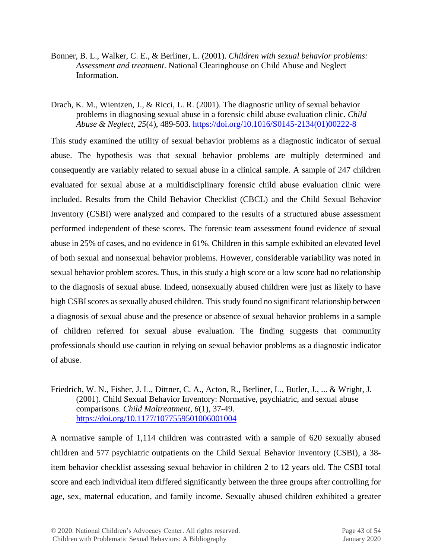- Bonner, B. L., Walker, C. E., & Berliner, L. (2001). *Children with sexual behavior problems: Assessment and treatment*. National Clearinghouse on Child Abuse and Neglect Information.
- Drach, K. M., Wientzen, J., & Ricci, L. R. (2001). The diagnostic utility of sexual behavior problems in diagnosing sexual abuse in a forensic child abuse evaluation clinic. *Child Abuse & Neglect*, *25*(4), 489-503. [https://doi.org/10.1016/S0145-2134\(01\)00222-8](https://doi.org/10.1016/S0145-2134(01)00222-8)

This study examined the utility of sexual behavior problems as a diagnostic indicator of sexual abuse. The hypothesis was that sexual behavior problems are multiply determined and consequently are variably related to sexual abuse in a clinical sample. A sample of 247 children evaluated for sexual abuse at a multidisciplinary forensic child abuse evaluation clinic were included. Results from the Child Behavior Checklist (CBCL) and the Child Sexual Behavior Inventory (CSBI) were analyzed and compared to the results of a structured abuse assessment performed independent of these scores. The forensic team assessment found evidence of sexual abuse in 25% of cases, and no evidence in 61%. Children in this sample exhibited an elevated level of both sexual and nonsexual behavior problems. However, considerable variability was noted in sexual behavior problem scores. Thus, in this study a high score or a low score had no relationship to the diagnosis of sexual abuse. Indeed, nonsexually abused children were just as likely to have high CSBI scores as sexually abused children. This study found no significant relationship between a diagnosis of sexual abuse and the presence or absence of sexual behavior problems in a sample of children referred for sexual abuse evaluation. The finding suggests that community professionals should use caution in relying on sexual behavior problems as a diagnostic indicator of abuse.

Friedrich, W. N., Fisher, J. L., Dittner, C. A., Acton, R., Berliner, L., Butler, J., ... & Wright, J. (2001). Child Sexual Behavior Inventory: Normative, psychiatric, and sexual abuse comparisons. *Child Maltreatment*, *6*(1), 37-49. <https://doi.org/10.1177/1077559501006001004>

A normative sample of 1,114 children was contrasted with a sample of 620 sexually abused children and 577 psychiatric outpatients on the Child Sexual Behavior Inventory (CSBI), a 38 item behavior checklist assessing sexual behavior in children 2 to 12 years old. The CSBI total score and each individual item differed significantly between the three groups after controlling for age, sex, maternal education, and family income. Sexually abused children exhibited a greater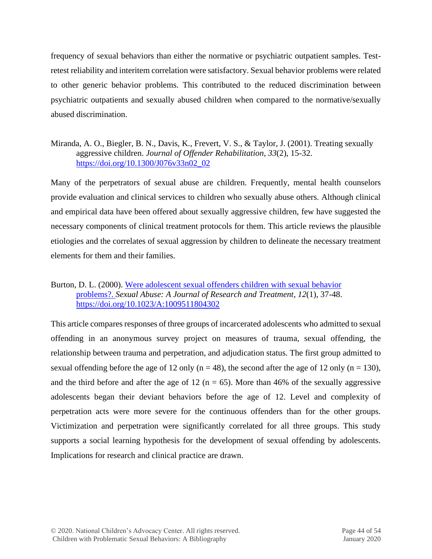frequency of sexual behaviors than either the normative or psychiatric outpatient samples. Testretest reliability and interitem correlation were satisfactory. Sexual behavior problems were related to other generic behavior problems. This contributed to the reduced discrimination between psychiatric outpatients and sexually abused children when compared to the normative/sexually abused discrimination.

#### Miranda, A. O., Biegler, B. N., Davis, K., Frevert, V. S., & Taylor, J. (2001). Treating sexually aggressive children. *Journal of Offender Rehabilitation*, *33*(2), 15-32. [https://doi.org/10.1300/J076v33n02\\_02](https://doi.org/10.1300/J076v33n02_02)

Many of the perpetrators of sexual abuse are children. Frequently, mental health counselors provide evaluation and clinical services to children who sexually abuse others. Although clinical and empirical data have been offered about sexually aggressive children, few have suggested the necessary components of clinical treatment protocols for them. This article reviews the plausible etiologies and the correlates of sexual aggression by children to delineate the necessary treatment elements for them and their families.

#### Burton, D. L. (2000). [Were adolescent sexual offenders children with sexual behavior](https://deepblue.lib.umich.edu/bitstream/handle/2027.42/45557/11194_2004_Article_220864.pdf?sequence=1)  [problems?.](https://deepblue.lib.umich.edu/bitstream/handle/2027.42/45557/11194_2004_Article_220864.pdf?sequence=1) *Sexual Abuse: A Journal of Research and Treatment*, *12*(1), 37-48. <https://doi.org/10.1023/A:1009511804302>

This article compares responses of three groups of incarcerated adolescents who admitted to sexual offending in an anonymous survey project on measures of trauma, sexual offending, the relationship between trauma and perpetration, and adjudication status. The first group admitted to sexual offending before the age of 12 only ( $n = 48$ ), the second after the age of 12 only ( $n = 130$ ), and the third before and after the age of 12 ( $n = 65$ ). More than 46% of the sexually aggressive adolescents began their deviant behaviors before the age of 12. Level and complexity of perpetration acts were more severe for the continuous offenders than for the other groups. Victimization and perpetration were significantly correlated for all three groups. This study supports a social learning hypothesis for the development of sexual offending by adolescents. Implications for research and clinical practice are drawn.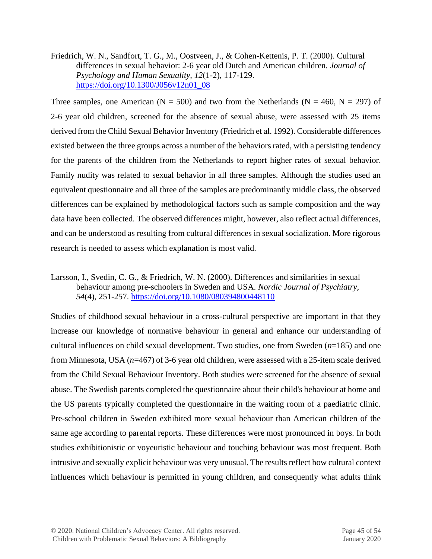Friedrich, W. N., Sandfort, T. G., M., Oostveen, J., & Cohen-Kettenis, P. T. (2000). Cultural differences in sexual behavior: 2-6 year old Dutch and American children*. Journal of Psychology and Human Sexuality, 12*(1-2), 117-129. [https://doi.org/10.1300/J056v12n01\\_08](https://doi.org/10.1300/J056v12n01_08)

Three samples, one American ( $N = 500$ ) and two from the Netherlands ( $N = 460$ ,  $N = 297$ ) of 2-6 year old children, screened for the absence of sexual abuse, were assessed with 25 items derived from the Child Sexual Behavior Inventory (Friedrich et al. 1992). Considerable differences existed between the three groups across a number of the behaviors rated, with a persisting tendency for the parents of the children from the Netherlands to report higher rates of sexual behavior. Family nudity was related to sexual behavior in all three samples. Although the studies used an equivalent questionnaire and all three of the samples are predominantly middle class, the observed differences can be explained by methodological factors such as sample composition and the way data have been collected. The observed differences might, however, also reflect actual differences, and can be understood as resulting from cultural differences in sexual socialization. More rigorous research is needed to assess which explanation is most valid.

Larsson, I., Svedin, C. G., & Friedrich, W. N. (2000). Differences and similarities in sexual behaviour among pre-schoolers in Sweden and USA. *Nordic Journal of Psychiatry, 54*(4), 251-257. <https://doi.org/10.1080/080394800448110>

Studies of childhood sexual behaviour in a cross-cultural perspective are important in that they increase our knowledge of normative behaviour in general and enhance our understanding of cultural influences on child sexual development. Two studies, one from Sweden (*n*=185) and one from Minnesota, USA (*n*=467) of 3-6 year old children, were assessed with a 25-item scale derived from the Child Sexual Behaviour Inventory. Both studies were screened for the absence of sexual abuse. The Swedish parents completed the questionnaire about their child's behaviour at home and the US parents typically completed the questionnaire in the waiting room of a paediatric clinic. Pre-school children in Sweden exhibited more sexual behaviour than American children of the same age according to parental reports. These differences were most pronounced in boys. In both studies exhibitionistic or voyeuristic behaviour and touching behaviour was most frequent. Both intrusive and sexually explicit behaviour was very unusual. The results reflect how cultural context influences which behaviour is permitted in young children, and consequently what adults think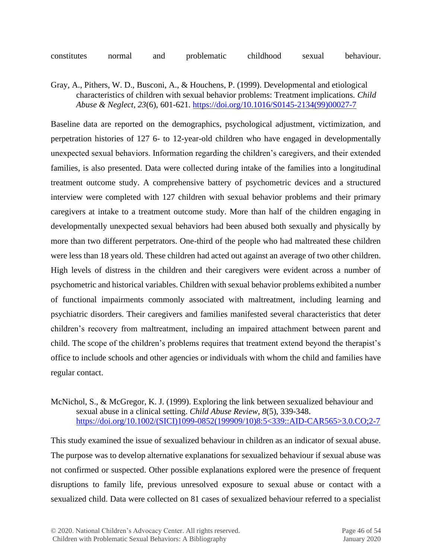constitutes normal and problematic childhood sexual behaviour.

Gray, A., Pithers, W. D., Busconi, A., & Houchens, P. (1999). Developmental and etiological characteristics of children with sexual behavior problems: Treatment implications. *Child Abuse & Neglect*, *23*(6), 601-621. [https://doi.org/10.1016/S0145-2134\(99\)00027-7](https://doi.org/10.1016/S0145-2134(99)00027-7)

Baseline data are reported on the demographics, psychological adjustment, victimization, and perpetration histories of 127 6- to 12-year-old children who have engaged in developmentally unexpected sexual behaviors. Information regarding the children's caregivers, and their extended families, is also presented. Data were collected during intake of the families into a longitudinal treatment outcome study. A comprehensive battery of psychometric devices and a structured interview were completed with 127 children with sexual behavior problems and their primary caregivers at intake to a treatment outcome study. More than half of the children engaging in developmentally unexpected sexual behaviors had been abused both sexually and physically by more than two different perpetrators. One-third of the people who had maltreated these children were less than 18 years old. These children had acted out against an average of two other children. High levels of distress in the children and their caregivers were evident across a number of psychometric and historical variables. Children with sexual behavior problems exhibited a number of functional impairments commonly associated with maltreatment, including learning and psychiatric disorders. Their caregivers and families manifested several characteristics that deter children's recovery from maltreatment, including an impaired attachment between parent and child. The scope of the children's problems requires that treatment extend beyond the therapist's office to include schools and other agencies or individuals with whom the child and families have regular contact.

#### McNichol, S., & McGregor, K. J. (1999). Exploring the link between sexualized behaviour and sexual abuse in a clinical setting. *Child Abuse Review*, *8*(5), 339-348. [https://doi.org/10.1002/\(SICI\)1099-0852\(199909/10\)8:5<339::AID-CAR565>3.0.CO;2-7](https://doi.org/10.1002/(SICI)1099-0852(199909/10)8:5%3c339::AID-CAR565%3e3.0.CO;2-7)

This study examined the issue of sexualized behaviour in children as an indicator of sexual abuse. The purpose was to develop alternative explanations for sexualized behaviour if sexual abuse was not confirmed or suspected. Other possible explanations explored were the presence of frequent disruptions to family life, previous unresolved exposure to sexual abuse or contact with a sexualized child. Data were collected on 81 cases of sexualized behaviour referred to a specialist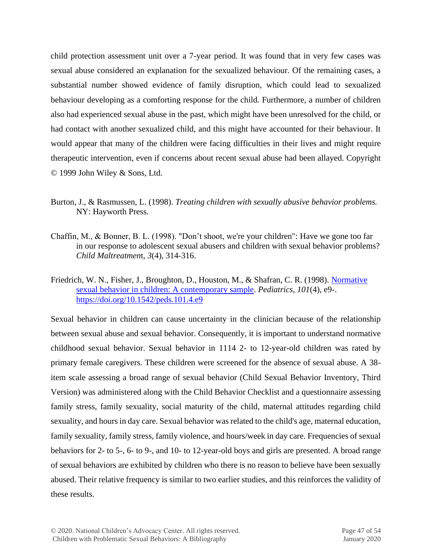child protection assessment unit over a 7-year period. It was found that in very few cases was sexual abuse considered an explanation for the sexualized behaviour. Of the remaining cases, a substantial number showed evidence of family disruption, which could lead to sexualized behaviour developing as a comforting response for the child. Furthermore, a number of children also had experienced sexual abuse in the past, which might have been unresolved for the child, or had contact with another sexualized child, and this might have accounted for their behaviour. It would appear that many of the children were facing difficulties in their lives and might require therapeutic intervention, even if concerns about recent sexual abuse had been allayed. Copyright © 1999 John Wiley & Sons, Ltd.

- Burton, J., & Rasmussen, L. (1998). *Treating children with sexually abusive behavior problems.* NY: Hayworth Press.
- Chaffin, M., & Bonner, B. L. (1998). "Don't shoot, we're your children": Have we gone too far in our response to adolescent sexual abusers and children with sexual behavior problems? *Child Maltreatmen*t, *3*(4), 314-316.
- Friedrich, W. N., Fisher, J., Broughton, D., Houston, M., & Shafran, C. R. (1998). [Normative](http://pediatrics.aappublications.org/content/101/4/e9.full.pdf+html)  [sexual behavior in children: A contemporary sample.](http://pediatrics.aappublications.org/content/101/4/e9.full.pdf+html) *Pediatrics*, *101*(4), e9-. <https://doi.org/10.1542/peds.101.4.e9>

Sexual behavior in children can cause uncertainty in the clinician because of the relationship between sexual abuse and sexual behavior. Consequently, it is important to understand normative childhood sexual behavior. Sexual behavior in 1114 2- to 12-year-old children was rated by primary female caregivers. These children were screened for the absence of sexual abuse. A 38 item scale assessing a broad range of sexual behavior (Child Sexual Behavior Inventory, Third Version) was administered along with the Child Behavior Checklist and a questionnaire assessing family stress, family sexuality, social maturity of the child, maternal attitudes regarding child sexuality, and hours in day care. Sexual behavior was related to the child's age, maternal education, family sexuality, family stress, family violence, and hours/week in day care. Frequencies of sexual behaviors for 2- to 5-, 6- to 9-, and 10- to 12-year-old boys and girls are presented. A broad range of sexual behaviors are exhibited by children who there is no reason to believe have been sexually abused. Their relative frequency is similar to two earlier studies, and this reinforces the validity of these results.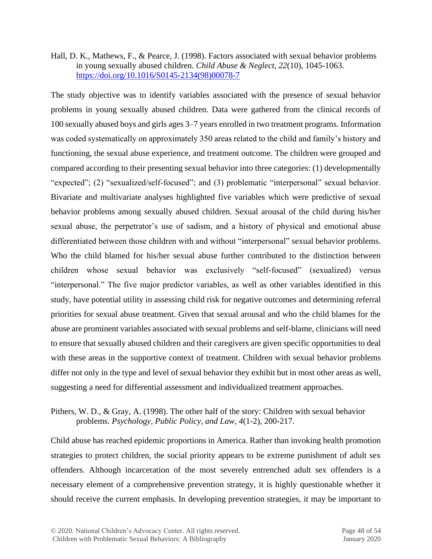Hall, D. K., Mathews, F., & Pearce, J. (1998). Factors associated with sexual behavior problems in young sexually abused children. *Child Abuse & Neglect*, *22*(10), 1045-1063. [https://doi.org/10.1016/S0145-2134\(98\)00078-7](https://doi.org/10.1016/S0145-2134(98)00078-7)

The study objective was to identify variables associated with the presence of sexual behavior problems in young sexually abused children. Data were gathered from the clinical records of 100 sexually abused boys and girls ages 3–7 years enrolled in two treatment programs. Information was coded systematically on approximately 350 areas related to the child and family's history and functioning, the sexual abuse experience, and treatment outcome. The children were grouped and compared according to their presenting sexual behavior into three categories: (1) developmentally "expected"; (2) "sexualized/self-focused"; and (3) problematic "interpersonal" sexual behavior. Bivariate and multivariate analyses highlighted five variables which were predictive of sexual behavior problems among sexually abused children. Sexual arousal of the child during his/her sexual abuse, the perpetrator's use of sadism, and a history of physical and emotional abuse differentiated between those children with and without "interpersonal" sexual behavior problems. Who the child blamed for his/her sexual abuse further contributed to the distinction between children whose sexual behavior was exclusively "self-focused" (sexualized) versus "interpersonal." The five major predictor variables, as well as other variables identified in this study, have potential utility in assessing child risk for negative outcomes and determining referral priorities for sexual abuse treatment. Given that sexual arousal and who the child blames for the abuse are prominent variables associated with sexual problems and self-blame, clinicians will need to ensure that sexually abused children and their caregivers are given specific opportunities to deal with these areas in the supportive context of treatment. Children with sexual behavior problems differ not only in the type and level of sexual behavior they exhibit but in most other areas as well, suggesting a need for differential assessment and individualized treatment approaches.

#### Pithers, W. D., & Gray, A. (1998). The other half of the story: Children with sexual behavior problems. *Psychology, Public Policy, and Law*, *4*(1-2), 200-217.

Child abuse has reached epidemic proportions in America. Rather than invoking health promotion strategies to protect children, the social priority appears to be extreme punishment of adult sex offenders. Although incarceration of the most severely entrenched adult sex offenders is a necessary element of a comprehensive prevention strategy, it is highly questionable whether it should receive the current emphasis. In developing prevention strategies, it may be important to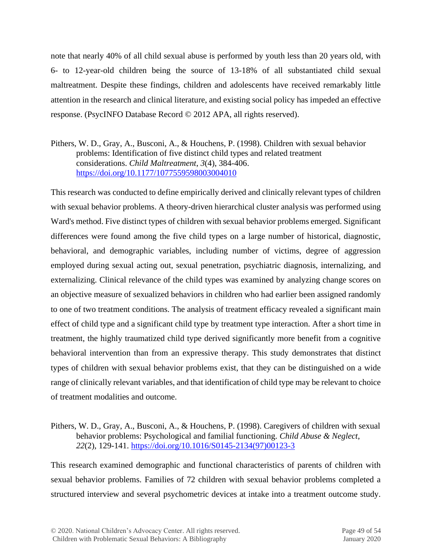note that nearly 40% of all child sexual abuse is performed by youth less than 20 years old, with 6- to 12-year-old children being the source of 13-18% of all substantiated child sexual maltreatment. Despite these findings, children and adolescents have received remarkably little attention in the research and clinical literature, and existing social policy has impeded an effective response. (PsycINFO Database Record © 2012 APA, all rights reserved).

Pithers, W. D., Gray, A., Busconi, A., & Houchens, P. (1998). Children with sexual behavior problems: Identification of five distinct child types and related treatment considerations. *Child Maltreatment*, *3*(4), 384-406. <https://doi.org/10.1177/1077559598003004010>

This research was conducted to define empirically derived and clinically relevant types of children with sexual behavior problems. A theory-driven hierarchical cluster analysis was performed using Ward's method. Five distinct types of children with sexual behavior problems emerged. Significant differences were found among the five child types on a large number of historical, diagnostic, behavioral, and demographic variables, including number of victims, degree of aggression employed during sexual acting out, sexual penetration, psychiatric diagnosis, internalizing, and externalizing. Clinical relevance of the child types was examined by analyzing change scores on an objective measure of sexualized behaviors in children who had earlier been assigned randomly to one of two treatment conditions. The analysis of treatment efficacy revealed a significant main effect of child type and a significant child type by treatment type interaction. After a short time in treatment, the highly traumatized child type derived significantly more benefit from a cognitive behavioral intervention than from an expressive therapy. This study demonstrates that distinct types of children with sexual behavior problems exist, that they can be distinguished on a wide range of clinically relevant variables, and that identification of child type may be relevant to choice of treatment modalities and outcome.

Pithers, W. D., Gray, A., Busconi, A., & Houchens, P. (1998). Caregivers of children with sexual behavior problems: Psychological and familial functioning. *Child Abuse & Neglect*, *22*(2), 129-141. [https://doi.org/10.1016/S0145-2134\(97\)00123-3](https://doi.org/10.1016/S0145-2134(97)00123-3)

This research examined demographic and functional characteristics of parents of children with sexual behavior problems. Families of 72 children with sexual behavior problems completed a structured interview and several psychometric devices at intake into a treatment outcome study.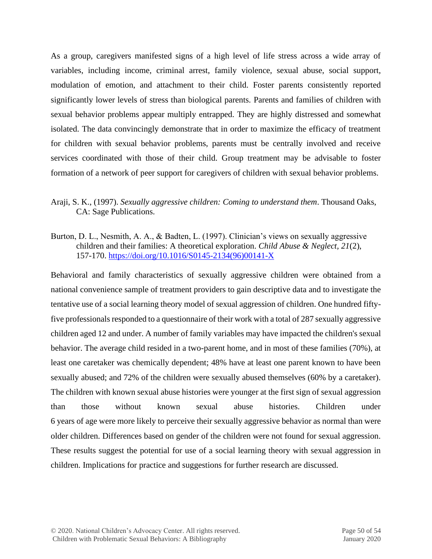As a group, caregivers manifested signs of a high level of life stress across a wide array of variables, including income, criminal arrest, family violence, sexual abuse, social support, modulation of emotion, and attachment to their child. Foster parents consistently reported significantly lower levels of stress than biological parents. Parents and families of children with sexual behavior problems appear multiply entrapped. They are highly distressed and somewhat isolated. The data convincingly demonstrate that in order to maximize the efficacy of treatment for children with sexual behavior problems, parents must be centrally involved and receive services coordinated with those of their child. Group treatment may be advisable to foster formation of a network of peer support for caregivers of children with sexual behavior problems.

- Araji, S. K., (1997). *Sexually aggressive children: Coming to understand them*. Thousand Oaks, CA: Sage Publications.
- Burton, D. L., Nesmith, A. A., & Badten, L. (1997). Clinician's views on sexually aggressive children and their families: A theoretical exploration. *Child Abuse & Neglect, 21*(2), 157-170. [https://doi.org/10.1016/S0145-2134\(96\)00141-X](https://doi.org/10.1016/S0145-2134(96)00141-X)

Behavioral and family characteristics of sexually aggressive children were obtained from a national convenience sample of treatment providers to gain descriptive data and to investigate the tentative use of a social learning theory model of sexual aggression of children. One hundred fiftyfive professionals responded to a questionnaire of their work with a total of 287 sexually aggressive children aged 12 and under. A number of family variables may have impacted the children's sexual behavior. The average child resided in a two-parent home, and in most of these families (70%), at least one caretaker was chemically dependent; 48% have at least one parent known to have been sexually abused; and 72% of the children were sexually abused themselves (60% by a caretaker). The children with known sexual abuse histories were younger at the first sign of sexual aggression than those without known sexual abuse histories. Children under 6 years of age were more likely to perceive their sexually aggressive behavior as normal than were older children. Differences based on gender of the children were not found for sexual aggression. These results suggest the potential for use of a social learning theory with sexual aggression in children. Implications for practice and suggestions for further research are discussed.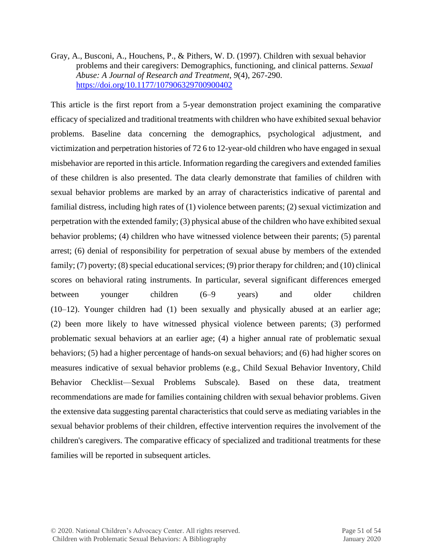Gray, A., Busconi, A., Houchens, P., & Pithers, W. D. (1997). Children with sexual behavior problems and their caregivers: Demographics, functioning, and clinical patterns. *Sexual Abuse: A Journal of Research and Treatment*, *9*(4), 267-290. <https://doi.org/10.1177/107906329700900402>

This article is the first report from a 5-year demonstration project examining the comparative efficacy of specialized and traditional treatments with children who have exhibited sexual behavior problems. Baseline data concerning the demographics, psychological adjustment, and victimization and perpetration histories of 72 6 to 12-year-old children who have engaged in sexual misbehavior are reported in this article. Information regarding the caregivers and extended families of these children is also presented. The data clearly demonstrate that families of children with sexual behavior problems are marked by an array of characteristics indicative of parental and familial distress, including high rates of (1) violence between parents; (2) sexual victimization and perpetration with the extended family; (3) physical abuse of the children who have exhibited sexual behavior problems; (4) children who have witnessed violence between their parents; (5) parental arrest; (6) denial of responsibility for perpetration of sexual abuse by members of the extended family; (7) poverty; (8) special educational services; (9) prior therapy for children; and (10) clinical scores on behavioral rating instruments. In particular, several significant differences emerged between younger children (6–9 years) and older children (10–12). Younger children had (1) been sexually and physically abused at an earlier age; (2) been more likely to have witnessed physical violence between parents; (3) performed problematic sexual behaviors at an earlier age; (4) a higher annual rate of problematic sexual behaviors; (5) had a higher percentage of hands-on sexual behaviors; and (6) had higher scores on measures indicative of sexual behavior problems (e.g., Child Sexual Behavior Inventory, [Child](http://link.springer.com/search?dc.title=Child+Behavior+Checklist&facet-content-type=ReferenceWorkEntry&sortOrder=relevance)  [Behavior Checklist—](http://link.springer.com/search?dc.title=Child+Behavior+Checklist&facet-content-type=ReferenceWorkEntry&sortOrder=relevance)Sexual Problems Subscale). Based on these data, treatment recommendations are made for families containing children with sexual behavior problems. Given the extensive data suggesting parental characteristics that could serve as mediating variables in the sexual behavior problems of their children, effective intervention requires the involvement of the children's caregivers. The comparative efficacy of specialized and traditional treatments for these families will be reported in subsequent articles.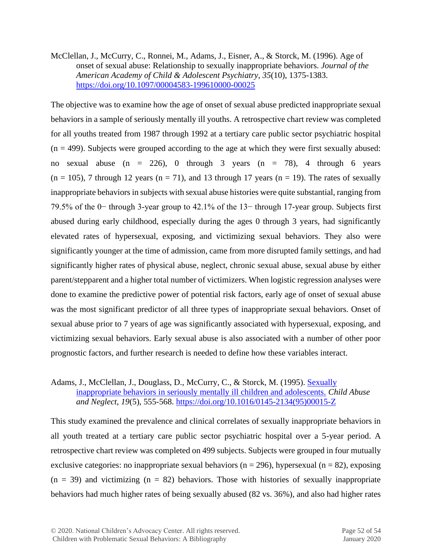McClellan, J., McCurry, C., Ronnei, M., Adams, J., Eisner, A., & Storck, M. (1996). Age of onset of sexual abuse: Relationship to sexually inappropriate behaviors. *Journal of the American Academy of Child & Adolescent Psychiatry*, *35*(10), 1375-1383. <https://doi.org/10.1097/00004583-199610000-00025>

The objective was to examine how the age of onset of sexual abuse predicted inappropriate sexual behaviors in a sample of seriously mentally ill youths. A retrospective chart review was completed for all youths treated from 1987 through 1992 at a tertiary care public sector psychiatric hospital  $(n = 499)$ . Subjects were grouped according to the age at which they were first sexually abused: no sexual abuse (n = 226), 0 through 3 years (n = 78), 4 through 6 years  $(n = 105)$ , 7 through 12 years  $(n = 71)$ , and 13 through 17 years  $(n = 19)$ . The rates of sexually inappropriate behaviors in subjects with sexual abuse histories were quite substantial, ranging from 79.5% of the 0− through 3-year group to 42.1% of the 13− through 17-year group. Subjects first abused during early childhood, especially during the ages 0 through 3 years, had significantly elevated rates of hypersexual, exposing, and victimizing sexual behaviors. They also were significantly younger at the time of admission, came from more disrupted family settings, and had significantly higher rates of physical abuse, neglect, chronic sexual abuse, sexual abuse by either parent/stepparent and a higher total number of victimizers. When logistic regression analyses were done to examine the predictive power of potential risk factors, early age of onset of sexual abuse was the most significant predictor of all three types of inappropriate sexual behaviors. Onset of sexual abuse prior to 7 years of age was significantly associated with hypersexual, exposing, and victimizing sexual behaviors. Early sexual abuse is also associated with a number of other poor prognostic factors, and further research is needed to define how these variables interact.

#### Adams, J., McClellan, J., Douglass, D., McCurry, C., & Storck, M. (1995). [Sexually](https://files.eric.ed.gov/fulltext/ED379568.pdf)  [inappropriate behaviors in seriously mentally ill children and adolescents.](https://files.eric.ed.gov/fulltext/ED379568.pdf) *Child Abuse and Neglect*, *19*(5), 555-568. [https://doi.org/10.1016/0145-2134\(95\)00015-Z](https://doi.org/10.1016/0145-2134(95)00015-Z)

This study examined the prevalence and clinical correlates of sexually inappropriate behaviors in all youth treated at a tertiary care public sector psychiatric hospital over a 5-year period. A retrospective chart review was completed on 499 subjects. Subjects were grouped in four mutually exclusive categories: no inappropriate sexual behaviors ( $n = 296$ ), hypersexual ( $n = 82$ ), exposing  $(n = 39)$  and victimizing  $(n = 82)$  behaviors. Those with histories of sexually inappropriate behaviors had much higher rates of being sexually abused (82 vs. 36%), and also had higher rates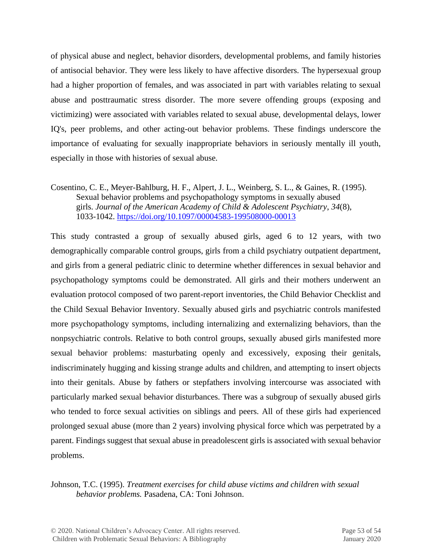of physical abuse and neglect, behavior disorders, developmental problems, and family histories of antisocial behavior. They were less likely to have affective disorders. The hypersexual group had a higher proportion of females, and was associated in part with variables relating to sexual abuse and posttraumatic stress disorder. The more severe offending groups (exposing and victimizing) were associated with variables related to sexual abuse, developmental delays, lower IQ's, peer problems, and other acting-out behavior problems. These findings underscore the importance of evaluating for sexually inappropriate behaviors in seriously mentally ill youth, especially in those with histories of sexual abuse.

Cosentino, C. E., Meyer-Bahlburg, H. F., Alpert, J. L., Weinberg, S. L., & Gaines, R. (1995). Sexual behavior problems and psychopathology symptoms in sexually abused girls. *Journal of the American Academy of Child & Adolescent Psychiatry*, *34*(8), 1033-1042.<https://doi.org/10.1097/00004583-199508000-00013>

This study contrasted a group of sexually abused girls, aged 6 to 12 years, with two demographically comparable control groups, girls from a child psychiatry outpatient department, and girls from a general pediatric clinic to determine whether differences in sexual behavior and psychopathology symptoms could be demonstrated. All girls and their mothers underwent an evaluation protocol composed of two parent-report inventories, the Child Behavior Checklist and the Child Sexual Behavior Inventory. Sexually abused girls and psychiatric controls manifested more psychopathology symptoms, including internalizing and externalizing behaviors, than the nonpsychiatric controls. Relative to both control groups, sexually abused girls manifested more sexual behavior problems: masturbating openly and excessively, exposing their genitals, indiscriminately hugging and kissing strange adults and children, and attempting to insert objects into their genitals. Abuse by fathers or stepfathers involving intercourse was associated with particularly marked sexual behavior disturbances. There was a subgroup of sexually abused girls who tended to force sexual activities on siblings and peers. All of these girls had experienced prolonged sexual abuse (more than 2 years) involving physical force which was perpetrated by a parent. Findings suggest that sexual abuse in preadolescent girls is associated with sexual behavior problems.

#### Johnson, T.C. (1995). *Treatment exercises for child abuse victims and children with sexual behavior problems.* Pasadena, CA: Toni Johnson.